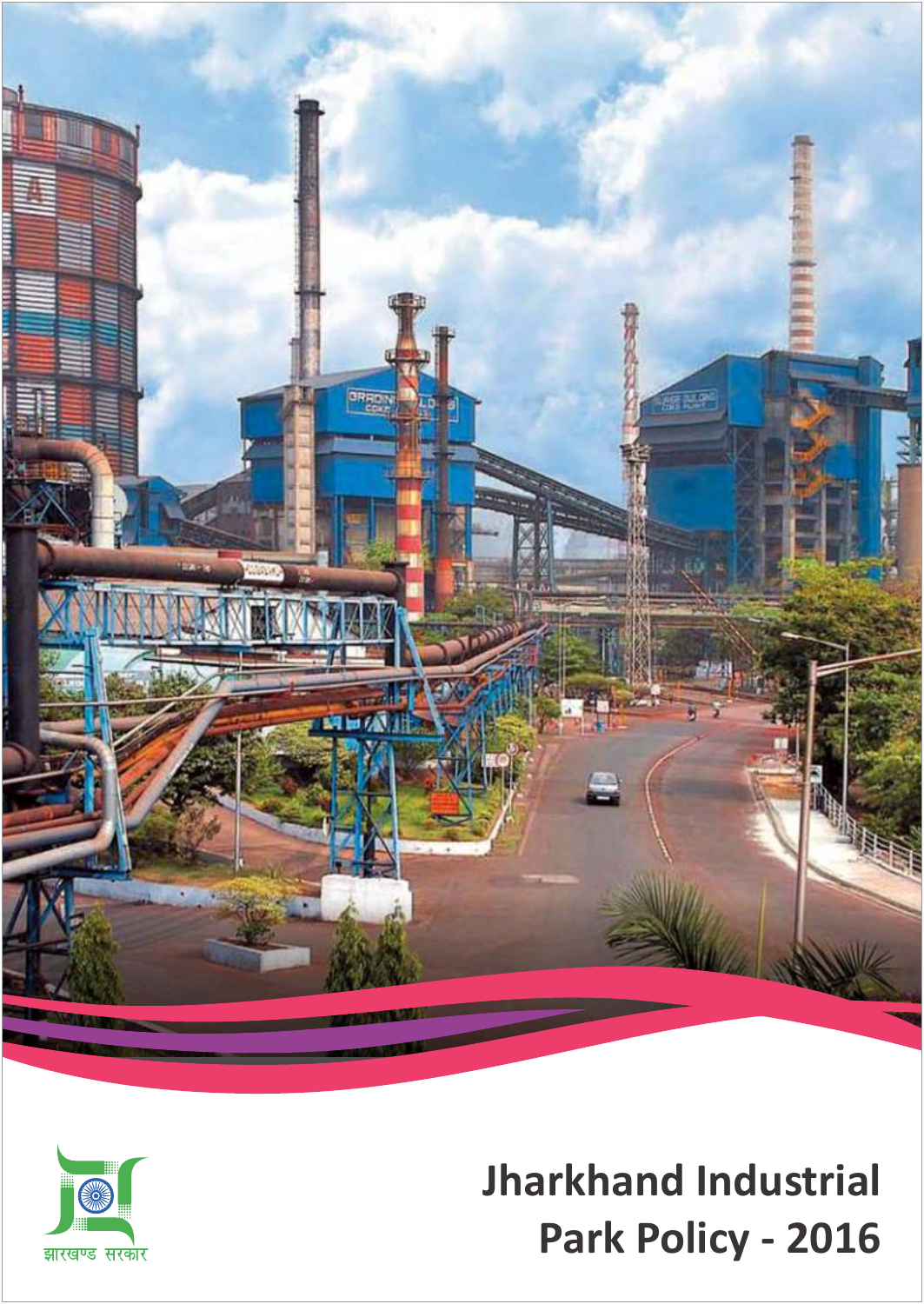



# **Jharkhand Industrial Park Policy - 2016**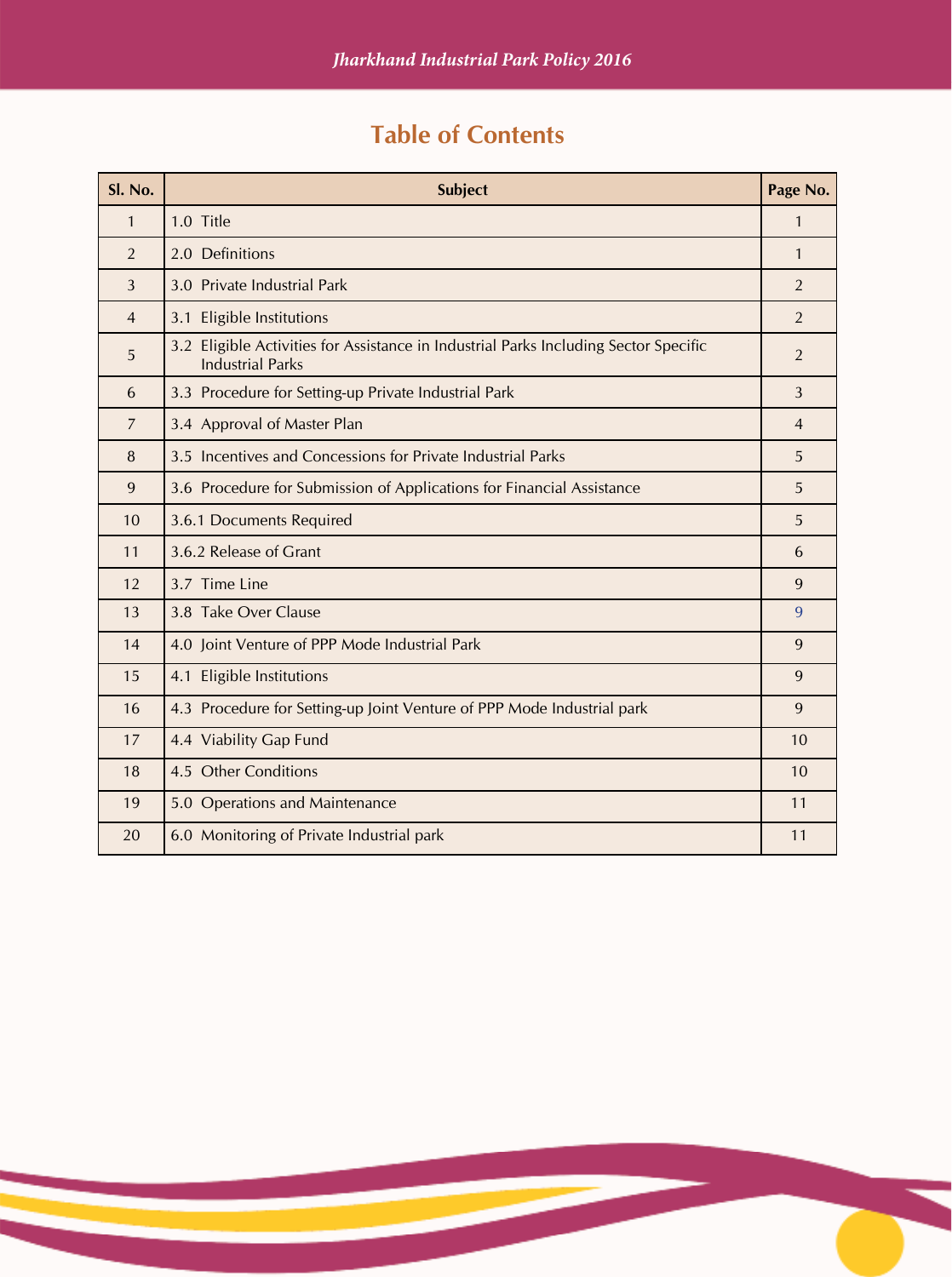# **Table of Contents**

| Sl. No.        | <b>Subject</b>                                                                                                  | Page No.       |
|----------------|-----------------------------------------------------------------------------------------------------------------|----------------|
| $\mathbf{1}$   | 1.0 Title                                                                                                       | $\mathbf{1}$   |
| $\overline{2}$ | 2.0 Definitions                                                                                                 | $\mathbf{1}$   |
| 3              | 3.0 Private Industrial Park                                                                                     | $\overline{2}$ |
| $\overline{4}$ | 3.1 Eligible Institutions                                                                                       | $\overline{2}$ |
| 5              | 3.2 Eligible Activities for Assistance in Industrial Parks Including Sector Specific<br><b>Industrial Parks</b> | $\overline{2}$ |
| 6              | 3.3 Procedure for Setting-up Private Industrial Park                                                            | 3              |
| $\overline{7}$ | 3.4 Approval of Master Plan                                                                                     | $\overline{4}$ |
| 8              | 3.5 Incentives and Concessions for Private Industrial Parks                                                     | 5              |
| 9              | 3.6 Procedure for Submission of Applications for Financial Assistance                                           | 5              |
| 10             | 3.6.1 Documents Required                                                                                        | 5              |
| 11             | 3.6.2 Release of Grant                                                                                          | 6              |
| 12             | 3.7 Time Line                                                                                                   | 9              |
| 13             | 3.8 Take Over Clause                                                                                            | 9              |
| 14             | 4.0 Joint Venture of PPP Mode Industrial Park                                                                   | 9              |
| 15             | 4.1 Eligible Institutions                                                                                       | 9              |
| 16             | 4.3 Procedure for Setting-up Joint Venture of PPP Mode Industrial park                                          | 9              |
| 17             | 4.4 Viability Gap Fund                                                                                          | 10             |
| 18             | 4.5 Other Conditions                                                                                            | 10             |
| 19             | 5.0 Operations and Maintenance                                                                                  | 11             |
| 20             | 6.0 Monitoring of Private Industrial park                                                                       | 11             |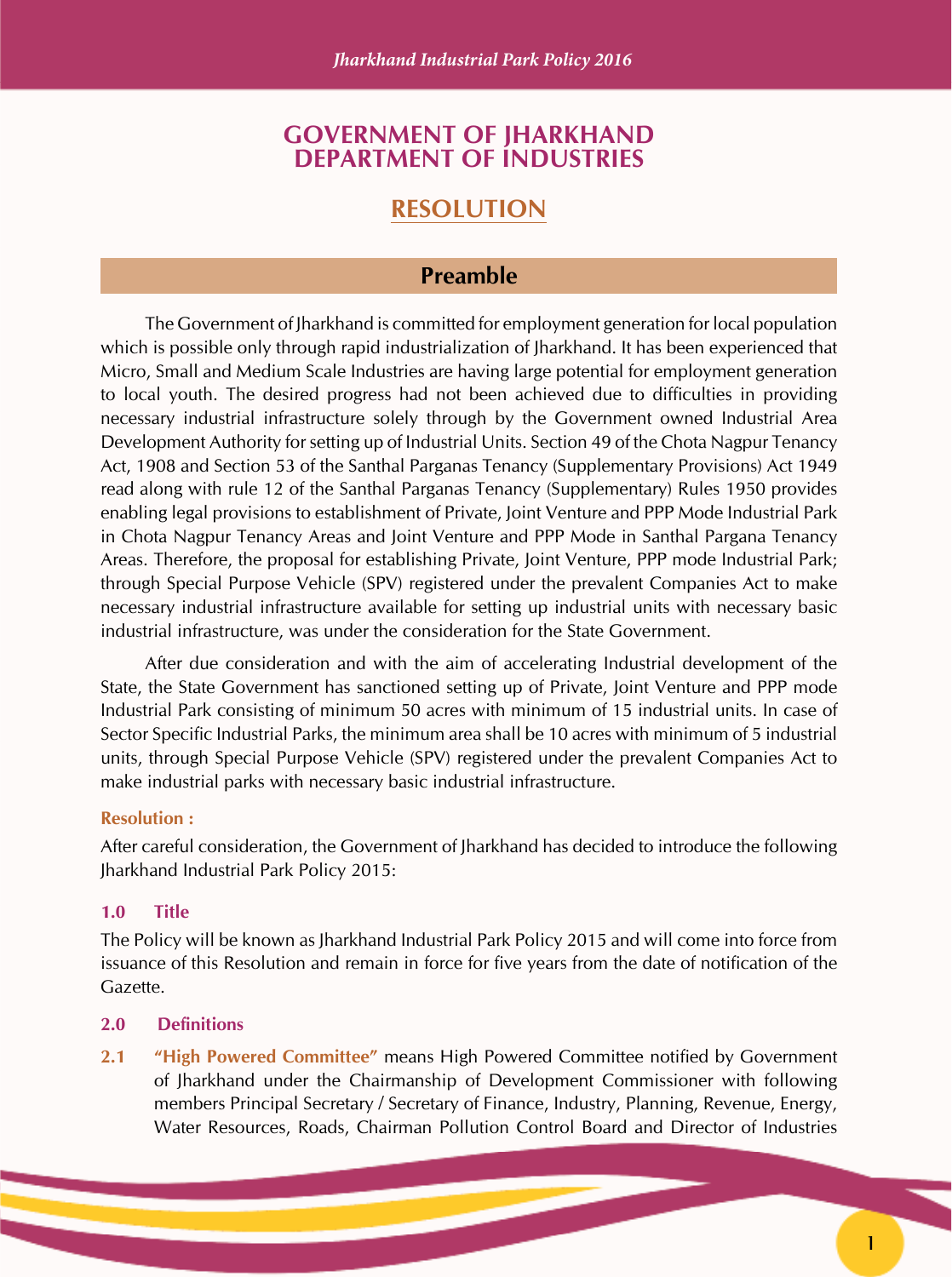### **GOVERNMENT OF JHARKHAND DEPARTMENT OF INDUSTRIES**

# **RESOLUTION**

#### **Preamble**

The Government of Jharkhand is committed for employment generation for local population which is possible only through rapid industrialization of Iharkhand. It has been experienced that Micro, Small and Medium Scale Industries are having large potential for employment generation to local youth. The desired progress had not been achieved due to difficulties in providing necessary industrial infrastructure solely through by the Government owned Industrial Area Development Authority for setting up of Industrial Units. Section 49 of the Chota Nagpur Tenancy Act, 1908 and Section 53 of the Santhal Parganas Tenancy (Supplementary Provisions) Act 1949 read along with rule 12 of the Santhal Parganas Tenancy (Supplementary) Rules 1950 provides enabling legal provisions to establishment of Private, Joint Venture and PPP Mode Industrial Park in Chota Nagpur Tenancy Areas and Joint Venture and PPP Mode in Santhal Pargana Tenancy Areas. Therefore, the proposal for establishing Private, Joint Venture, PPP mode Industrial Park; through Special Purpose Vehicle (SPV) registered under the prevalent Companies Act to make necessary industrial infrastructure available for setting up industrial units with necessary basic industrial infrastructure, was under the consideration for the State Government.

After due consideration and with the aim of accelerating Industrial development of the State, the State Government has sanctioned setting up of Private, Joint Venture and PPP mode Industrial Park consisting of minimum 50 acres with minimum of 15 industrial units. In case of Sector Specific Industrial Parks, the minimum area shall be 10 acres with minimum of 5 industrial units, through Special Purpose Vehicle (SPV) registered under the prevalent Companies Act to make industrial parks with necessary basic industrial infrastructure.

#### **Resolution :**

After careful consideration, the Government of Jharkhand has decided to introduce the following Jharkhand Industrial Park Policy 2015:

#### **1.0 Title**

The Policy will be known as Jharkhand Industrial Park Policy 2015 and will come into force from issuance of this Resolution and remain in force for five years from the date of notification of the Gazette.

#### **2.0 Definitions**

**2.1 "High Powered Committee"** means High Powered Committee notified by Government of Jharkhand under the Chairmanship of Development Commissioner with following members Principal Secretary / Secretary of Finance, Industry, Planning, Revenue, Energy, Water Resources, Roads, Chairman Pollution Control Board and Director of Industries

**1**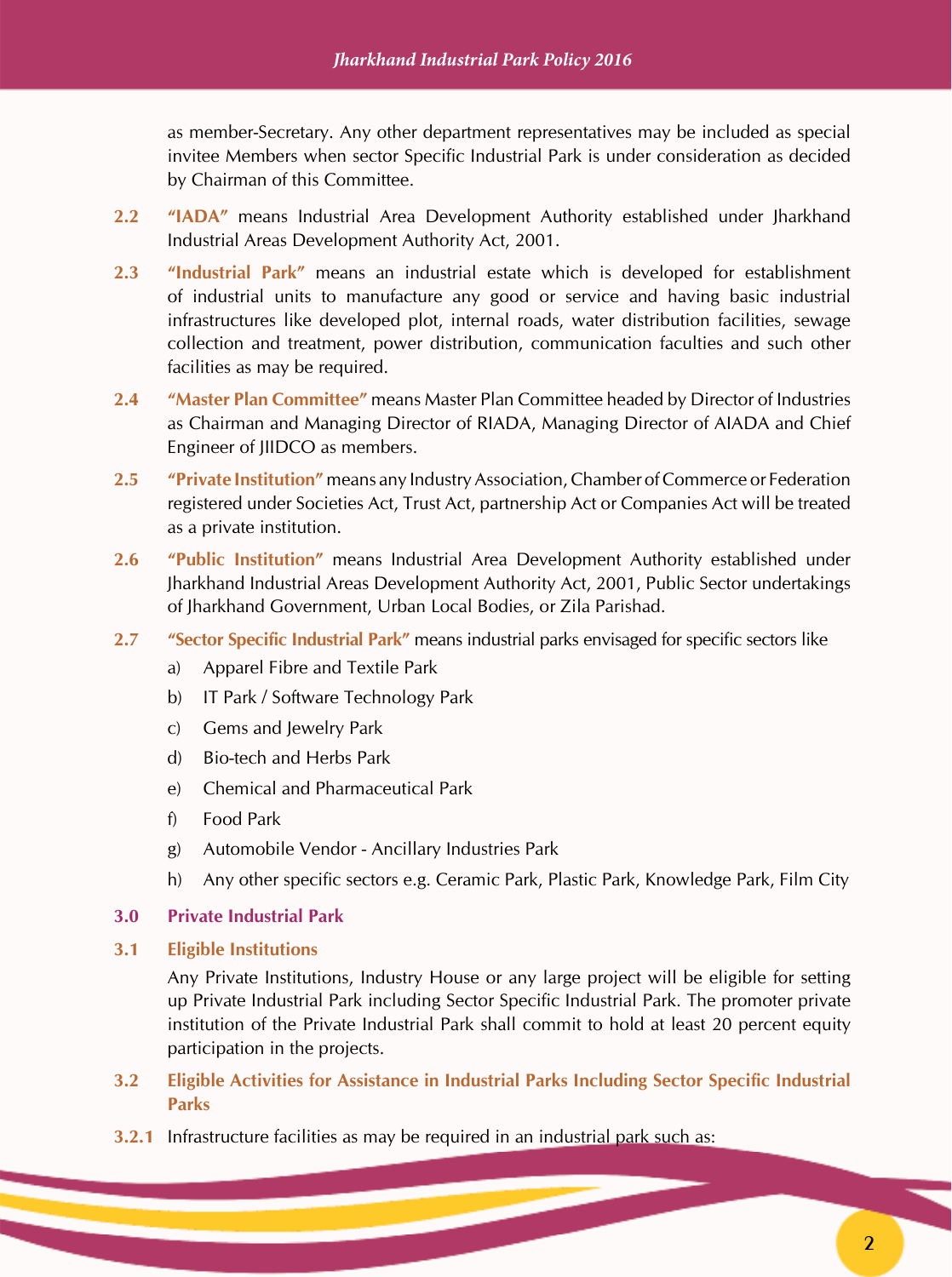as member-Secretary. Any other department representatives may be included as special invitee Members when sector Specific Industrial Park is under consideration as decided by Chairman of this Committee.

- **2.2 "IADA"** means Industrial Area Development Authority established under Jharkhand Industrial Areas Development Authority Act, 2001.
- **2.3 "Industrial Park"** means an industrial estate which is developed for establishment of industrial units to manufacture any good or service and having basic industrial infrastructures like developed plot, internal roads, water distribution facilities, sewage collection and treatment, power distribution, communication faculties and such other facilities as may be required.
- **2.4 "Master Plan Committee"** means Master Plan Committee headed by Director of Industries as Chairman and Managing Director of RIADA, Managing Director of AIADA and Chief Engineer of JIIDCO as members.
- **2.5 "Private Institution"** means any Industry Association, Chamber of Commerce or Federation registered under Societies Act, Trust Act, partnership Act or Companies Act will be treated as a private institution.
- **2.6 "Public Institution"** means Industrial Area Development Authority established under Jharkhand Industrial Areas Development Authority Act, 2001, Public Sector undertakings of Jharkhand Government, Urban Local Bodies, or Zila Parishad.
- **2.7 "Sector Specific Industrial Park"** means industrial parks envisaged for specific sectors like
	- a) Apparel Fibre and Textile Park
	- b) IT Park / Software Technology Park
	- c) Gems and Jewelry Park
	- d) Bio-tech and Herbs Park
	- e) Chemical and Pharmaceutical Park
	- f) Food Park
	- g) Automobile Vendor Ancillary Industries Park
	- h) Any other specific sectors e.g. Ceramic Park, Plastic Park, Knowledge Park, Film City

#### **3.0 Private Industrial Park**

#### **3.1 Eligible Institutions**

Any Private Institutions, Industry House or any large project will be eligible for setting up Private Industrial Park including Sector Specific Industrial Park. The promoter private institution of the Private Industrial Park shall commit to hold at least 20 percent equity participation in the projects.

- **3.2 Eligible Activities for Assistance in Industrial Parks Including Sector Specific Industrial Parks**
- **3.2.1** Infrastructure facilities as may be required in an industrial park such as: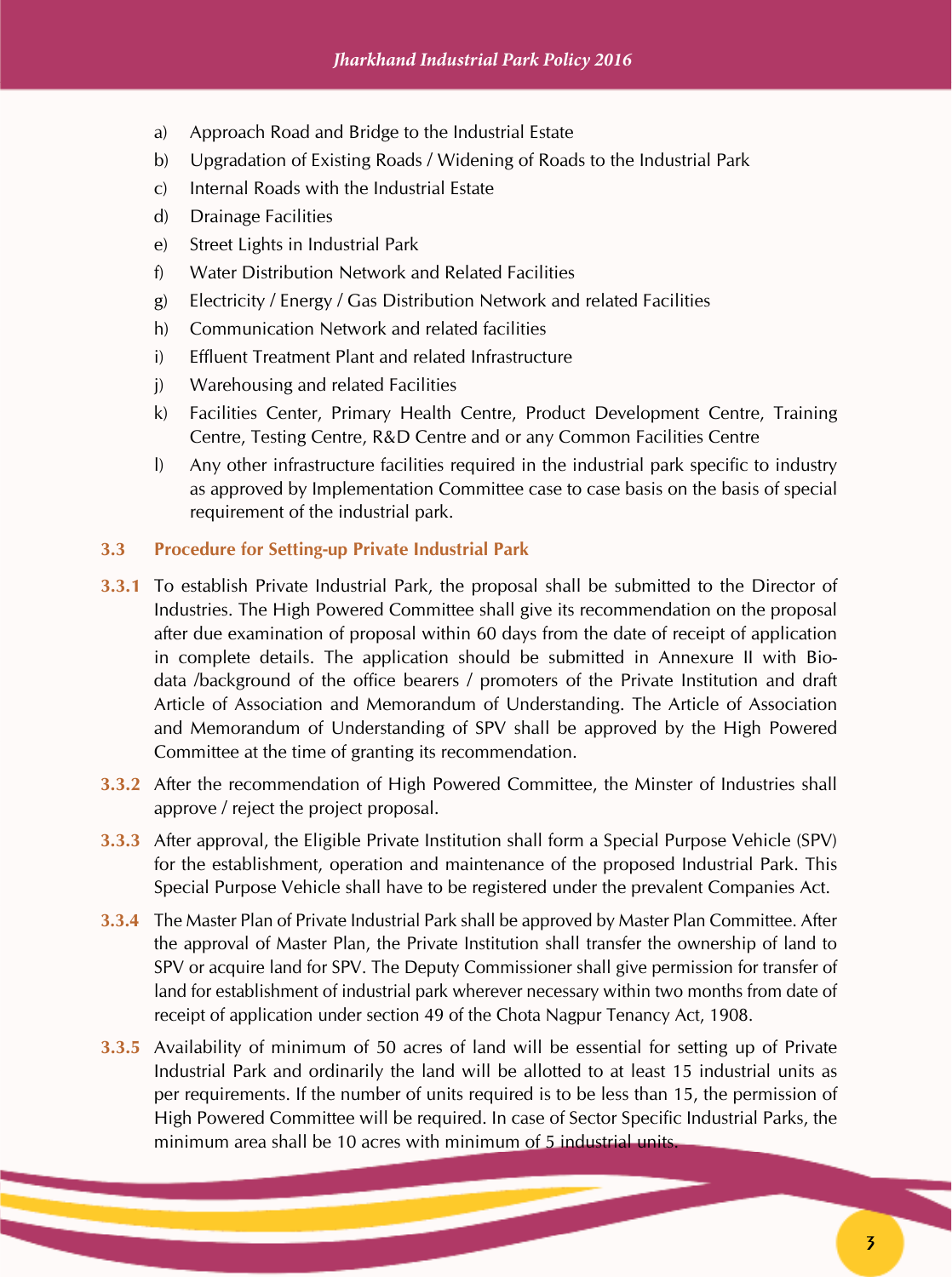- a) Approach Road and Bridge to the Industrial Estate
- b) Upgradation of Existing Roads / Widening of Roads to the Industrial Park
- c) Internal Roads with the Industrial Estate
- d) Drainage Facilities
- e) Street Lights in Industrial Park
- f) Water Distribution Network and Related Facilities
- g) Electricity / Energy / Gas Distribution Network and related Facilities
- h) Communication Network and related facilities
- i) Effluent Treatment Plant and related Infrastructure
- j) Warehousing and related Facilities
- k) Facilities Center, Primary Health Centre, Product Development Centre, Training Centre, Testing Centre, R&D Centre and or any Common Facilities Centre
- l) Any other infrastructure facilities required in the industrial park specific to industry as approved by Implementation Committee case to case basis on the basis of special requirement of the industrial park.

#### **3.3 Procedure for Setting-up Private Industrial Park**

- **3.3.1** To establish Private Industrial Park, the proposal shall be submitted to the Director of Industries. The High Powered Committee shall give its recommendation on the proposal after due examination of proposal within 60 days from the date of receipt of application in complete details. The application should be submitted in Annexure II with Biodata /background of the office bearers / promoters of the Private Institution and draft Article of Association and Memorandum of Understanding. The Article of Association and Memorandum of Understanding of SPV shall be approved by the High Powered Committee at the time of granting its recommendation.
- **3.3.2** After the recommendation of High Powered Committee, the Minster of Industries shall approve / reject the project proposal.
- **3.3.3** After approval, the Eligible Private Institution shall form a Special Purpose Vehicle (SPV) for the establishment, operation and maintenance of the proposed Industrial Park. This Special Purpose Vehicle shall have to be registered under the prevalent Companies Act.
- **3.3.4** The Master Plan of Private Industrial Park shall be approved by Master Plan Committee. After the approval of Master Plan, the Private Institution shall transfer the ownership of land to SPV or acquire land for SPV. The Deputy Commissioner shall give permission for transfer of land for establishment of industrial park wherever necessary within two months from date of receipt of application under section 49 of the Chota Nagpur Tenancy Act, 1908.
- **3.3.5** Availability of minimum of 50 acres of land will be essential for setting up of Private Industrial Park and ordinarily the land will be allotted to at least 15 industrial units as per requirements. If the number of units required is to be less than 15, the permission of High Powered Committee will be required. In case of Sector Specific Industrial Parks, the minimum area shall be 10 acres with minimum of 5 industrial units.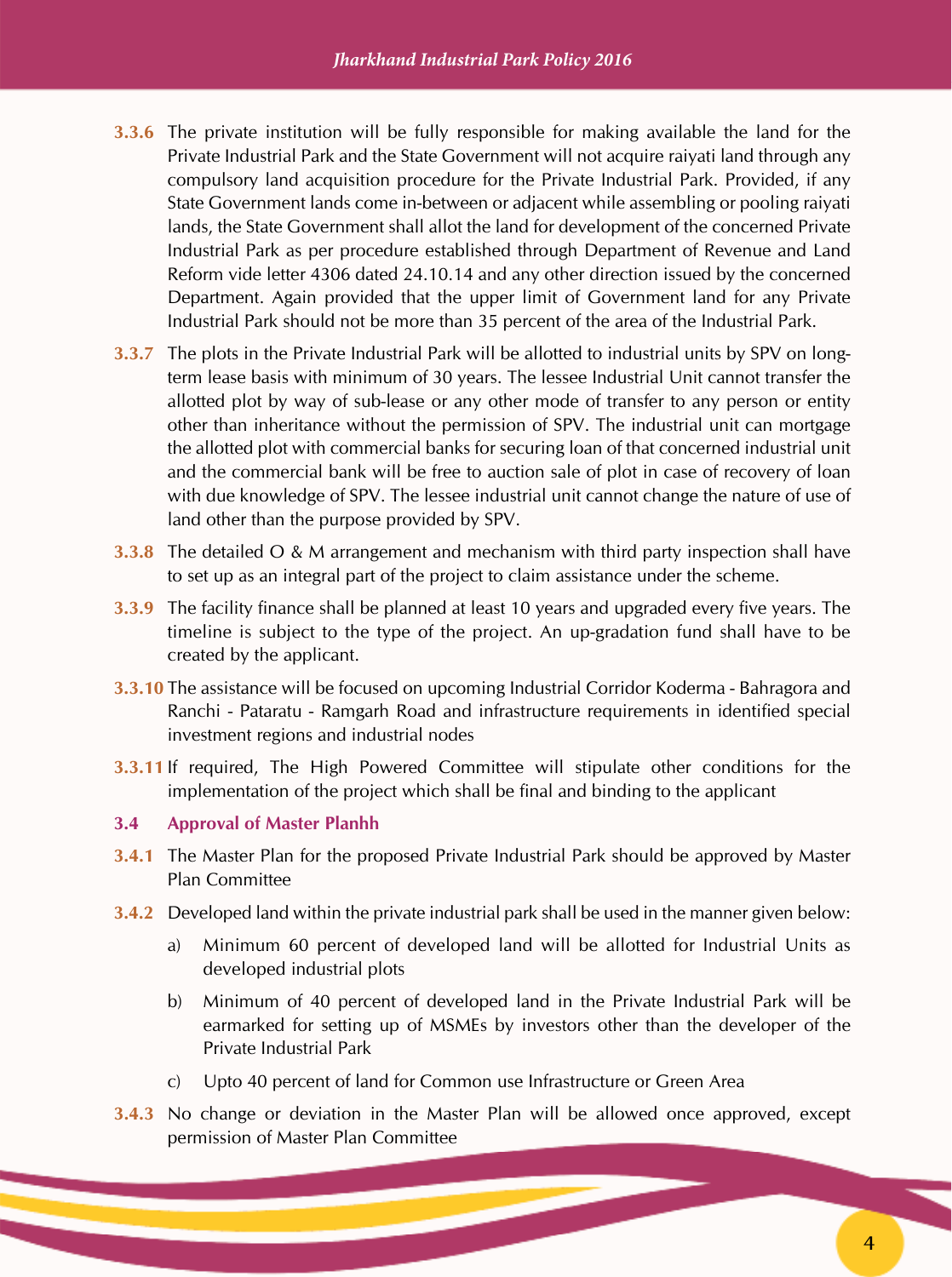- **3.3.6** The private institution will be fully responsible for making available the land for the Private Industrial Park and the State Government will not acquire raiyati land through any compulsory land acquisition procedure for the Private Industrial Park. Provided, if any State Government lands come in-between or adjacent while assembling or pooling raiyati lands, the State Government shall allot the land for development of the concerned Private Industrial Park as per procedure established through Department of Revenue and Land Reform vide letter 4306 dated 24.10.14 and any other direction issued by the concerned Department. Again provided that the upper limit of Government land for any Private Industrial Park should not be more than 35 percent of the area of the Industrial Park.
- **3.3.7** The plots in the Private Industrial Park will be allotted to industrial units by SPV on longterm lease basis with minimum of 30 years. The lessee Industrial Unit cannot transfer the allotted plot by way of sub-lease or any other mode of transfer to any person or entity other than inheritance without the permission of SPV. The industrial unit can mortgage the allotted plot with commercial banks for securing loan of that concerned industrial unit and the commercial bank will be free to auction sale of plot in case of recovery of loan with due knowledge of SPV. The lessee industrial unit cannot change the nature of use of land other than the purpose provided by SPV.
- **3.3.8** The detailed O & M arrangement and mechanism with third party inspection shall have to set up as an integral part of the project to claim assistance under the scheme.
- **3.3.9** The facility finance shall be planned at least 10 years and upgraded every five years. The timeline is subject to the type of the project. An up-gradation fund shall have to be created by the applicant.
- **3.3.10** The assistance will be focused on upcoming Industrial Corridor Koderma Bahragora and Ranchi - Pataratu - Ramgarh Road and infrastructure requirements in identified special investment regions and industrial nodes
- **3.3.11** If required, The High Powered Committee will stipulate other conditions for the implementation of the project which shall be final and binding to the applicant

#### **3.4 Approval of Master Planhh**

- **3.4.1** The Master Plan for the proposed Private Industrial Park should be approved by Master Plan Committee
- **3.4.2** Developed land within the private industrial park shall be used in the manner given below:
	- a) Minimum 60 percent of developed land will be allotted for Industrial Units as developed industrial plots
	- b) Minimum of 40 percent of developed land in the Private Industrial Park will be earmarked for setting up of MSMEs by investors other than the developer of the Private Industrial Park
	- c) Upto 40 percent of land for Common use Infrastructure or Green Area
- **3.4.3** No change or deviation in the Master Plan will be allowed once approved, except permission of Master Plan Committee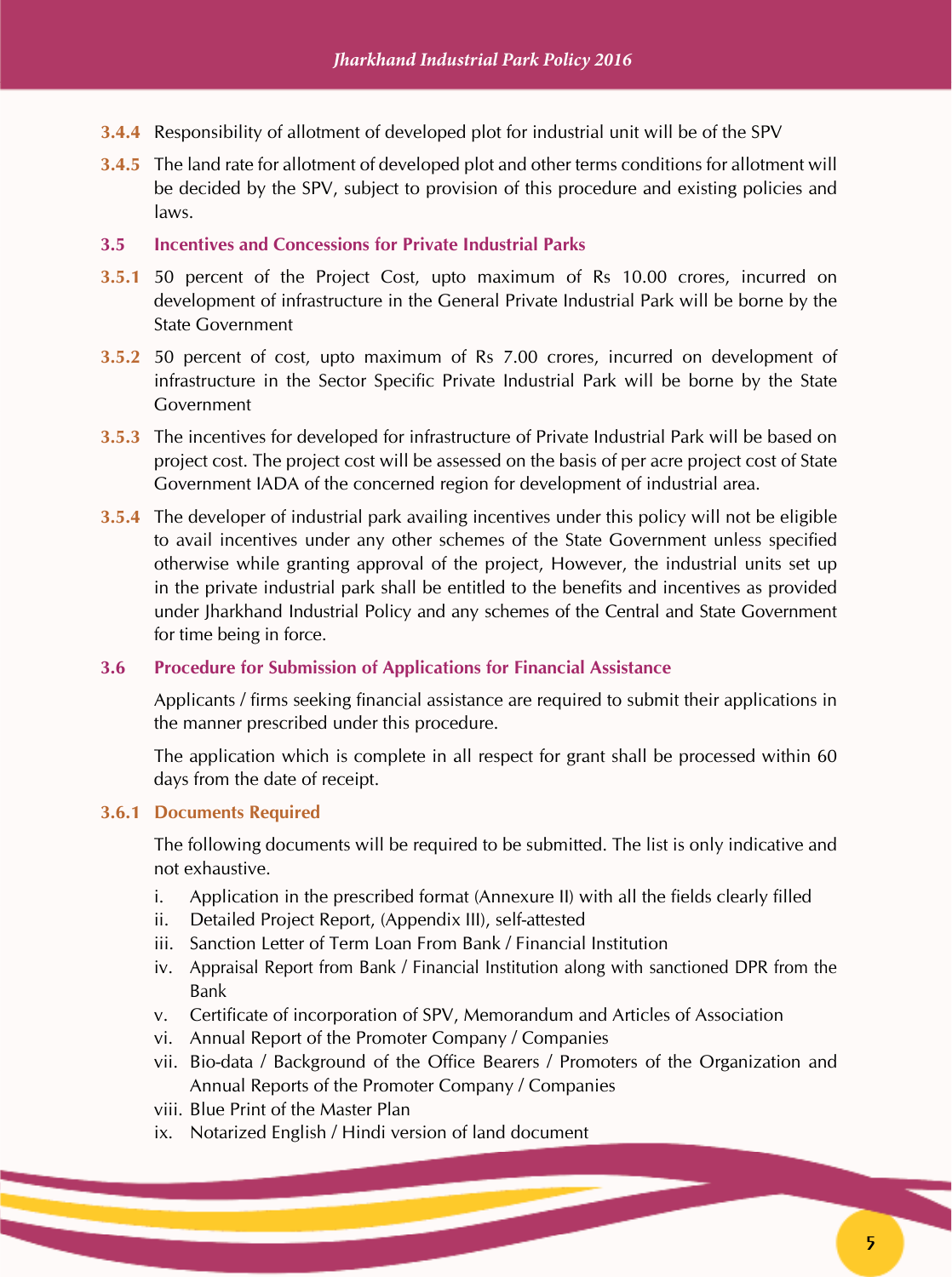- **3.4.4** Responsibility of allotment of developed plot for industrial unit will be of the SPV
- **3.4.5** The land rate for allotment of developed plot and other terms conditions for allotment will be decided by the SPV, subject to provision of this procedure and existing policies and laws.

#### **3.5 Incentives and Concessions for Private Industrial Parks**

- **3.5.1** 50 percent of the Project Cost, upto maximum of Rs 10.00 crores, incurred on development of infrastructure in the General Private Industrial Park will be borne by the State Government
- **3.5.2** 50 percent of cost, upto maximum of Rs 7.00 crores, incurred on development of infrastructure in the Sector Specific Private Industrial Park will be borne by the State Government
- **3.5.3** The incentives for developed for infrastructure of Private Industrial Park will be based on project cost. The project cost will be assessed on the basis of per acre project cost of State Government IADA of the concerned region for development of industrial area.
- **3.5.4** The developer of industrial park availing incentives under this policy will not be eligible to avail incentives under any other schemes of the State Government unless specified otherwise while granting approval of the project, However, the industrial units set up in the private industrial park shall be entitled to the benefits and incentives as provided under Jharkhand Industrial Policy and any schemes of the Central and State Government for time being in force.

#### **3.6 Procedure for Submission of Applications for Financial Assistance**

Applicants / firms seeking financial assistance are required to submit their applications in the manner prescribed under this procedure.

The application which is complete in all respect for grant shall be processed within 60 days from the date of receipt.

#### **3.6.1 Documents Required**

The following documents will be required to be submitted. The list is only indicative and not exhaustive.

- i. Application in the prescribed format (Annexure II) with all the fields clearly filled
- ii. Detailed Project Report, (Appendix III), self-attested
- iii. Sanction Letter of Term Loan From Bank / Financial Institution
- iv. Appraisal Report from Bank / Financial Institution along with sanctioned DPR from the Bank
- v. Certificate of incorporation of SPV, Memorandum and Articles of Association
- vi. Annual Report of the Promoter Company / Companies
- vii. Bio-data / Background of the Office Bearers / Promoters of the Organization and Annual Reports of the Promoter Company / Companies
- viii. Blue Print of the Master Plan
- ix. Notarized English / Hindi version of land document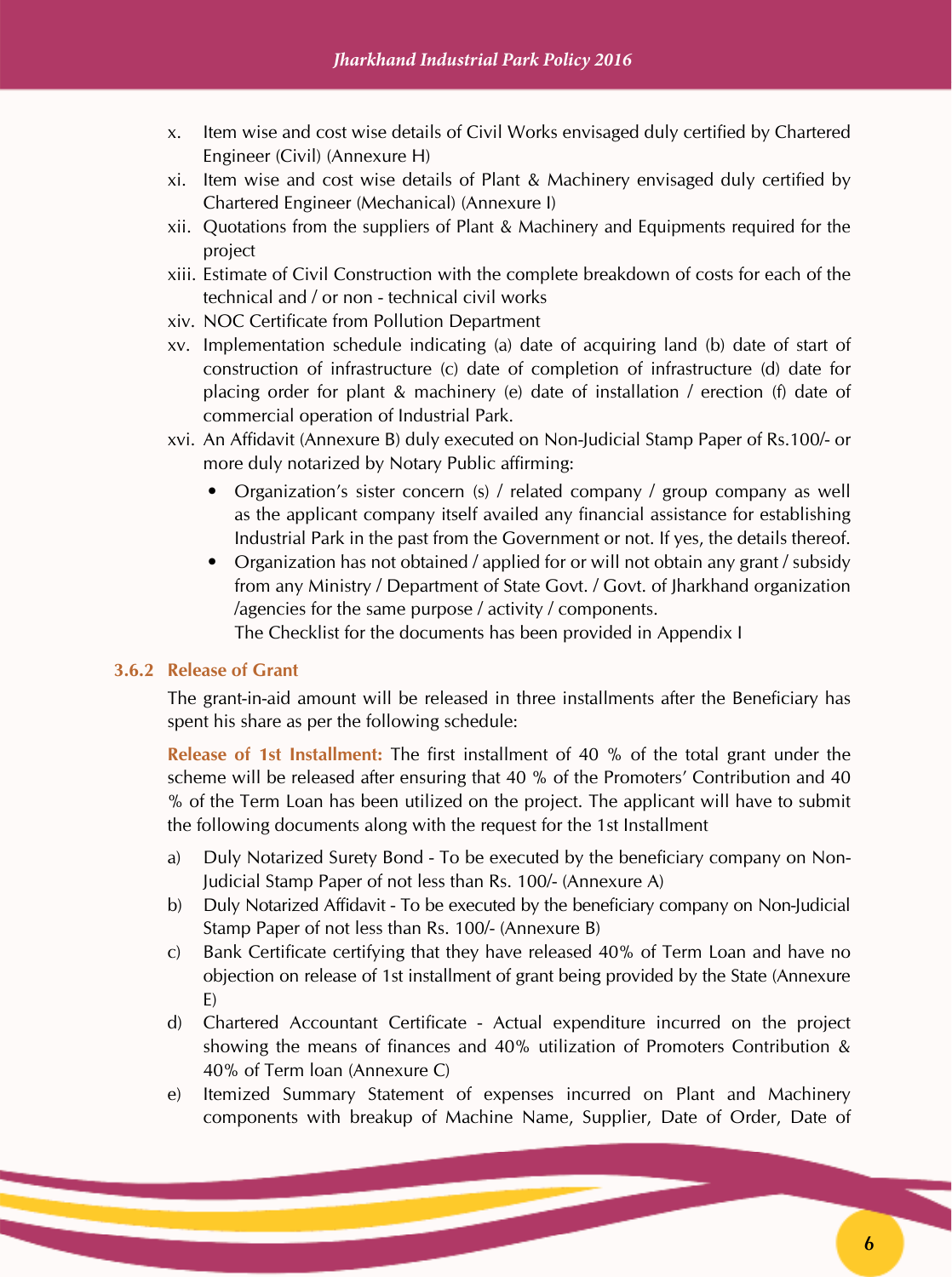- x. Item wise and cost wise details of Civil Works envisaged duly certified by Chartered Engineer (Civil) (Annexure H)
- xi. Item wise and cost wise details of Plant & Machinery envisaged duly certified by Chartered Engineer (Mechanical) (Annexure I)
- xii. Quotations from the suppliers of Plant & Machinery and Equipments required for the project
- xiii. Estimate of Civil Construction with the complete breakdown of costs for each of the technical and / or non - technical civil works
- xiv. NOC Certificate from Pollution Department
- xv. Implementation schedule indicating (a) date of acquiring land (b) date of start of construction of infrastructure (c) date of completion of infrastructure (d) date for placing order for plant & machinery (e) date of installation / erection (f) date of commercial operation of Industrial Park.
- xvi. An Affidavit (Annexure B) duly executed on Non-Judicial Stamp Paper of Rs.100/- or more duly notarized by Notary Public affirming:
	- Organization's sister concern (s) / related company / group company as well as the applicant company itself availed any financial assistance for establishing Industrial Park in the past from the Government or not. If yes, the details thereof.
	- Organization has not obtained / applied for or will not obtain any grant / subsidy from any Ministry / Department of State Govt. / Govt. of Jharkhand organization /agencies for the same purpose / activity / components. The Checklist for the documents has been provided in Appendix I

#### **3.6.2 Release of Grant**

The grant-in-aid amount will be released in three installments after the Beneficiary has spent his share as per the following schedule:

**Release of 1st Installment:** The first installment of 40 % of the total grant under the scheme will be released after ensuring that 40 % of the Promoters' Contribution and 40 % of the Term Loan has been utilized on the project. The applicant will have to submit the following documents along with the request for the 1st Installment

- a) Duly Notarized Surety Bond To be executed by the beneficiary company on Non-Judicial Stamp Paper of not less than Rs. 100/- (Annexure A)
- b) Duly Notarized Affidavit To be executed by the beneficiary company on Non-Judicial Stamp Paper of not less than Rs. 100/- (Annexure B)
- c) Bank Certificate certifying that they have released 40% of Term Loan and have no objection on release of 1st installment of grant being provided by the State (Annexure E)
- d) Chartered Accountant Certificate Actual expenditure incurred on the project showing the means of finances and 40% utilization of Promoters Contribution & 40% of Term loan (Annexure C)
- e) Itemized Summary Statement of expenses incurred on Plant and Machinery components with breakup of Machine Name, Supplier, Date of Order, Date of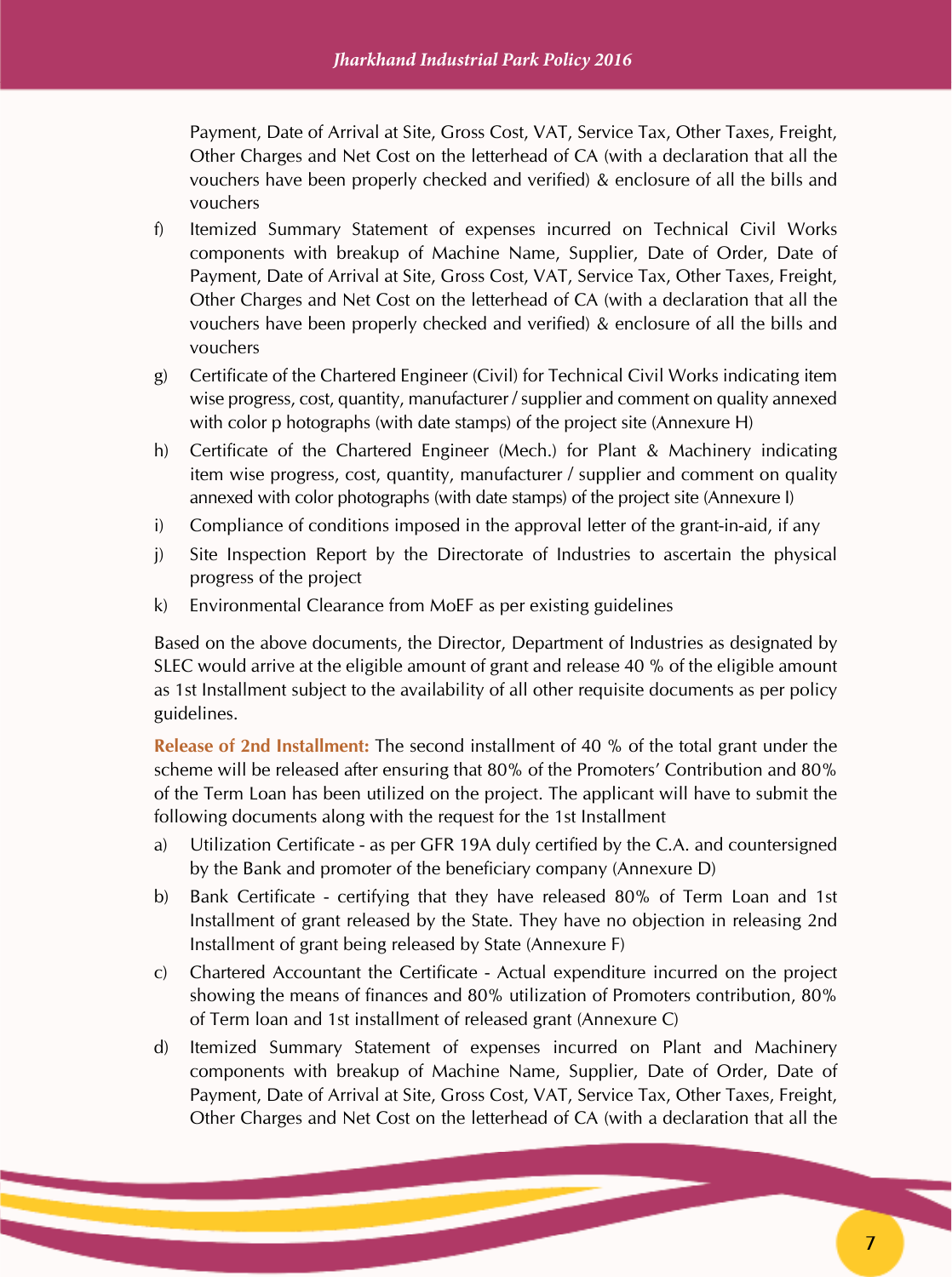Payment, Date of Arrival at Site, Gross Cost, VAT, Service Tax, Other Taxes, Freight, Other Charges and Net Cost on the letterhead of CA (with a declaration that all the vouchers have been properly checked and verified) & enclosure of all the bills and vouchers

- f) Itemized Summary Statement of expenses incurred on Technical Civil Works components with breakup of Machine Name, Supplier, Date of Order, Date of Payment, Date of Arrival at Site, Gross Cost, VAT, Service Tax, Other Taxes, Freight, Other Charges and Net Cost on the letterhead of CA (with a declaration that all the vouchers have been properly checked and verified) & enclosure of all the bills and vouchers
- g) Certificate of the Chartered Engineer (Civil) for Technical Civil Works indicating item wise progress, cost, quantity, manufacturer / supplier and comment on quality annexed with color p hotographs (with date stamps) of the project site (Annexure H)
- h) Certificate of the Chartered Engineer (Mech.) for Plant & Machinery indicating item wise progress, cost, quantity, manufacturer / supplier and comment on quality annexed with color photographs (with date stamps) of the project site (Annexure I)
- i) Compliance of conditions imposed in the approval letter of the grant-in-aid, if any
- j) Site Inspection Report by the Directorate of Industries to ascertain the physical progress of the project
- k) Environmental Clearance from MoEF as per existing guidelines

Based on the above documents, the Director, Department of Industries as designated by SLEC would arrive at the eligible amount of grant and release 40 % of the eligible amount as 1st Installment subject to the availability of all other requisite documents as per policy guidelines.

**Release of 2nd Installment:** The second installment of 40 % of the total grant under the scheme will be released after ensuring that 80% of the Promoters' Contribution and 80% of the Term Loan has been utilized on the project. The applicant will have to submit the following documents along with the request for the 1st Installment

- a) Utilization Certificate as per GFR 19A duly certified by the C.A. and countersigned by the Bank and promoter of the beneficiary company (Annexure D)
- b) Bank Certificate certifying that they have released 80% of Term Loan and 1st Installment of grant released by the State. They have no objection in releasing 2nd Installment of grant being released by State (Annexure F)
- c) Chartered Accountant the Certificate Actual expenditure incurred on the project showing the means of finances and 80% utilization of Promoters contribution, 80% of Term loan and 1st installment of released grant (Annexure C)
- d) Itemized Summary Statement of expenses incurred on Plant and Machinery components with breakup of Machine Name, Supplier, Date of Order, Date of Payment, Date of Arrival at Site, Gross Cost, VAT, Service Tax, Other Taxes, Freight, Other Charges and Net Cost on the letterhead of CA (with a declaration that all the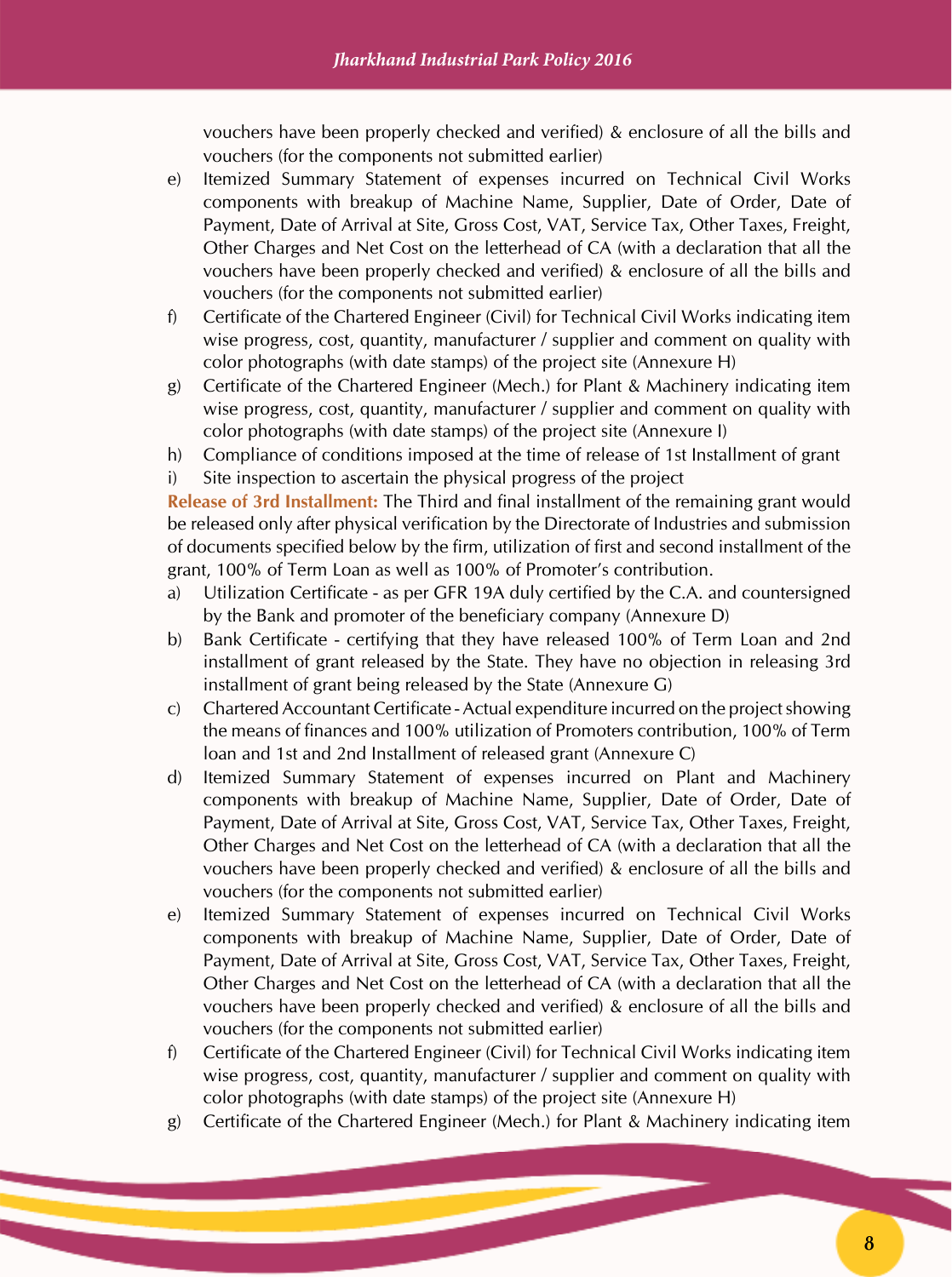vouchers have been properly checked and verified) & enclosure of all the bills and vouchers (for the components not submitted earlier)

- e) Itemized Summary Statement of expenses incurred on Technical Civil Works components with breakup of Machine Name, Supplier, Date of Order, Date of Payment, Date of Arrival at Site, Gross Cost, VAT, Service Tax, Other Taxes, Freight, Other Charges and Net Cost on the letterhead of CA (with a declaration that all the vouchers have been properly checked and verified) & enclosure of all the bills and vouchers (for the components not submitted earlier)
- f) Certificate of the Chartered Engineer (Civil) for Technical Civil Works indicating item wise progress, cost, quantity, manufacturer / supplier and comment on quality with color photographs (with date stamps) of the project site (Annexure H)
- g) Certificate of the Chartered Engineer (Mech.) for Plant & Machinery indicating item wise progress, cost, quantity, manufacturer / supplier and comment on quality with color photographs (with date stamps) of the project site (Annexure I)
- h) Compliance of conditions imposed at the time of release of 1st Installment of grant i) Site inspection to ascertain the physical progress of the project

**Release of 3rd Installment:** The Third and final installment of the remaining grant would be released only after physical verification by the Directorate of Industries and submission of documents specified below by the firm, utilization of first and second installment of the grant, 100% of Term Loan as well as 100% of Promoter's contribution.

- a) Utilization Certificate as per GFR 19A duly certified by the C.A. and countersigned by the Bank and promoter of the beneficiary company (Annexure D)
- b) Bank Certificate certifying that they have released 100% of Term Loan and 2nd installment of grant released by the State. They have no objection in releasing 3rd installment of grant being released by the State (Annexure G)
- c) Chartered Accountant Certificate Actual expenditure incurred on the project showing the means of finances and 100% utilization of Promoters contribution, 100% of Term loan and 1st and 2nd Installment of released grant (Annexure C)
- d) Itemized Summary Statement of expenses incurred on Plant and Machinery components with breakup of Machine Name, Supplier, Date of Order, Date of Payment, Date of Arrival at Site, Gross Cost, VAT, Service Tax, Other Taxes, Freight, Other Charges and Net Cost on the letterhead of CA (with a declaration that all the vouchers have been properly checked and verified) & enclosure of all the bills and vouchers (for the components not submitted earlier)
- e) Itemized Summary Statement of expenses incurred on Technical Civil Works components with breakup of Machine Name, Supplier, Date of Order, Date of Payment, Date of Arrival at Site, Gross Cost, VAT, Service Tax, Other Taxes, Freight, Other Charges and Net Cost on the letterhead of CA (with a declaration that all the vouchers have been properly checked and verified) & enclosure of all the bills and vouchers (for the components not submitted earlier)
- f) Certificate of the Chartered Engineer (Civil) for Technical Civil Works indicating item wise progress, cost, quantity, manufacturer / supplier and comment on quality with color photographs (with date stamps) of the project site (Annexure H)
- g) Certificate of the Chartered Engineer (Mech.) for Plant & Machinery indicating item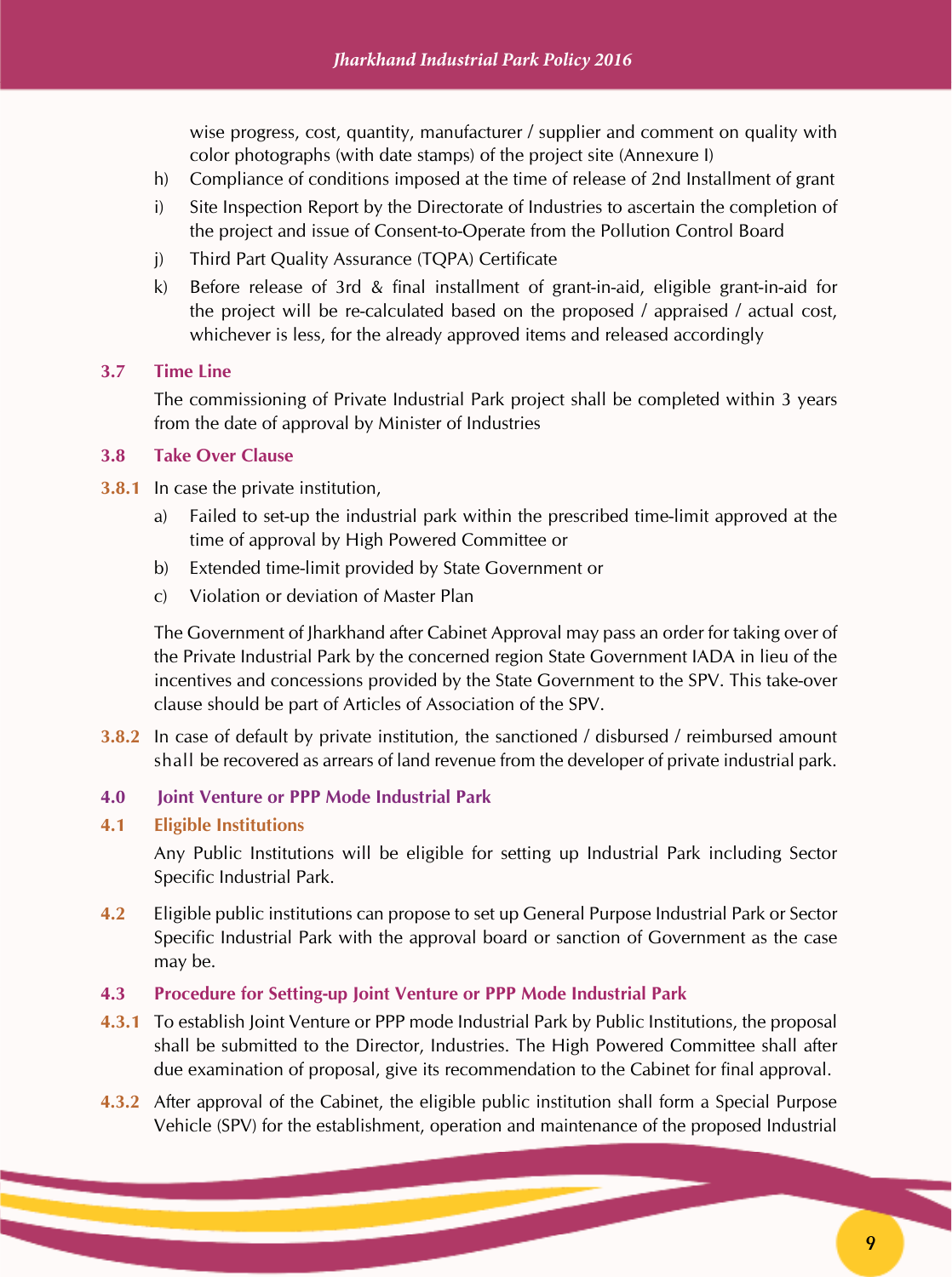wise progress, cost, quantity, manufacturer / supplier and comment on quality with color photographs (with date stamps) of the project site (Annexure I)

- h) Compliance of conditions imposed at the time of release of 2nd Installment of grant
- i) Site Inspection Report by the Directorate of Industries to ascertain the completion of the project and issue of Consent-to-Operate from the Pollution Control Board
- j) Third Part Quality Assurance (TQPA) Certificate
- k) Before release of 3rd & final installment of grant-in-aid, eligible grant-in-aid for the project will be re-calculated based on the proposed / appraised / actual cost, whichever is less, for the already approved items and released accordingly

#### **3.7 Time Line**

The commissioning of Private Industrial Park project shall be completed within 3 years from the date of approval by Minister of Industries

#### **3.8 Take Over Clause**

- **3.8.1** In case the private institution,
	- a) Failed to set-up the industrial park within the prescribed time-limit approved at the time of approval by High Powered Committee or
	- b) Extended time-limit provided by State Government or
	- c) Violation or deviation of Master Plan

The Government of Jharkhand after Cabinet Approval may pass an order for taking over of the Private Industrial Park by the concerned region State Government IADA in lieu of the incentives and concessions provided by the State Government to the SPV. This take-over clause should be part of Articles of Association of the SPV.

**3.8.2** In case of default by private institution, the sanctioned / disbursed / reimbursed amount shall be recovered as arrears of land revenue from the developer of private industrial park.

#### **4.0 Joint Venture or PPP Mode Industrial Park**

**4.1 Eligible Institutions**

Any Public Institutions will be eligible for setting up Industrial Park including Sector Specific Industrial Park.

- **4.2** Eligible public institutions can propose to set up General Purpose Industrial Park or Sector Specific Industrial Park with the approval board or sanction of Government as the case may be.
- **4.3 Procedure for Setting-up Joint Venture or PPP Mode Industrial Park**
- **4.3.1** To establish Joint Venture or PPP mode Industrial Park by Public Institutions, the proposal shall be submitted to the Director, Industries. The High Powered Committee shall after due examination of proposal, give its recommendation to the Cabinet for final approval.
- **4.3.2** After approval of the Cabinet, the eligible public institution shall form a Special Purpose Vehicle (SPV) for the establishment, operation and maintenance of the proposed Industrial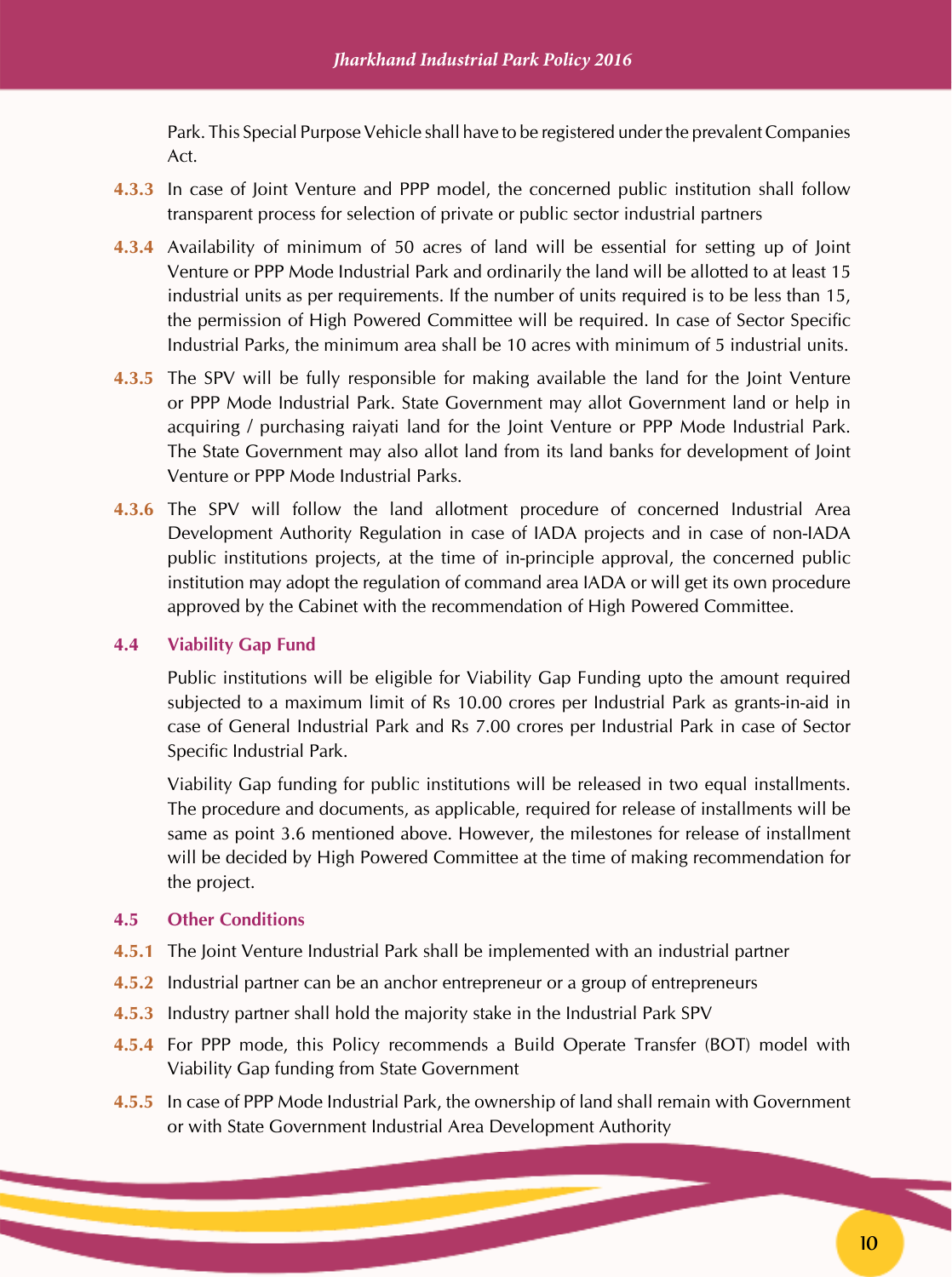Park. This Special Purpose Vehicle shall have to be registered under the prevalent Companies Act.

- **4.3.3** In case of Joint Venture and PPP model, the concerned public institution shall follow transparent process for selection of private or public sector industrial partners
- **4.3.4** Availability of minimum of 50 acres of land will be essential for setting up of Joint Venture or PPP Mode Industrial Park and ordinarily the land will be allotted to at least 15 industrial units as per requirements. If the number of units required is to be less than 15, the permission of High Powered Committee will be required. In case of Sector Specific Industrial Parks, the minimum area shall be 10 acres with minimum of 5 industrial units.
- **4.3.5** The SPV will be fully responsible for making available the land for the Joint Venture or PPP Mode Industrial Park. State Government may allot Government land or help in acquiring / purchasing raiyati land for the Joint Venture or PPP Mode Industrial Park. The State Government may also allot land from its land banks for development of Joint Venture or PPP Mode Industrial Parks.
- **4.3.6** The SPV will follow the land allotment procedure of concerned Industrial Area Development Authority Regulation in case of IADA projects and in case of non-IADA public institutions projects, at the time of in-principle approval, the concerned public institution may adopt the regulation of command area IADA or will get its own procedure approved by the Cabinet with the recommendation of High Powered Committee.

#### **4.4 Viability Gap Fund**

Public institutions will be eligible for Viability Gap Funding upto the amount required subjected to a maximum limit of Rs 10.00 crores per Industrial Park as grants-in-aid in case of General Industrial Park and Rs 7.00 crores per Industrial Park in case of Sector Specific Industrial Park.

Viability Gap funding for public institutions will be released in two equal installments. The procedure and documents, as applicable, required for release of installments will be same as point 3.6 mentioned above. However, the milestones for release of installment will be decided by High Powered Committee at the time of making recommendation for the project.

#### **4.5 Other Conditions**

- **4.5.1** The Joint Venture Industrial Park shall be implemented with an industrial partner
- **4.5.2** Industrial partner can be an anchor entrepreneur or a group of entrepreneurs
- **4.5.3** Industry partner shall hold the majority stake in the Industrial Park SPV
- **4.5.4** For PPP mode, this Policy recommends a Build Operate Transfer (BOT) model with Viability Gap funding from State Government
- **4.5.5** In case of PPP Mode Industrial Park, the ownership of land shall remain with Government or with State Government Industrial Area Development Authority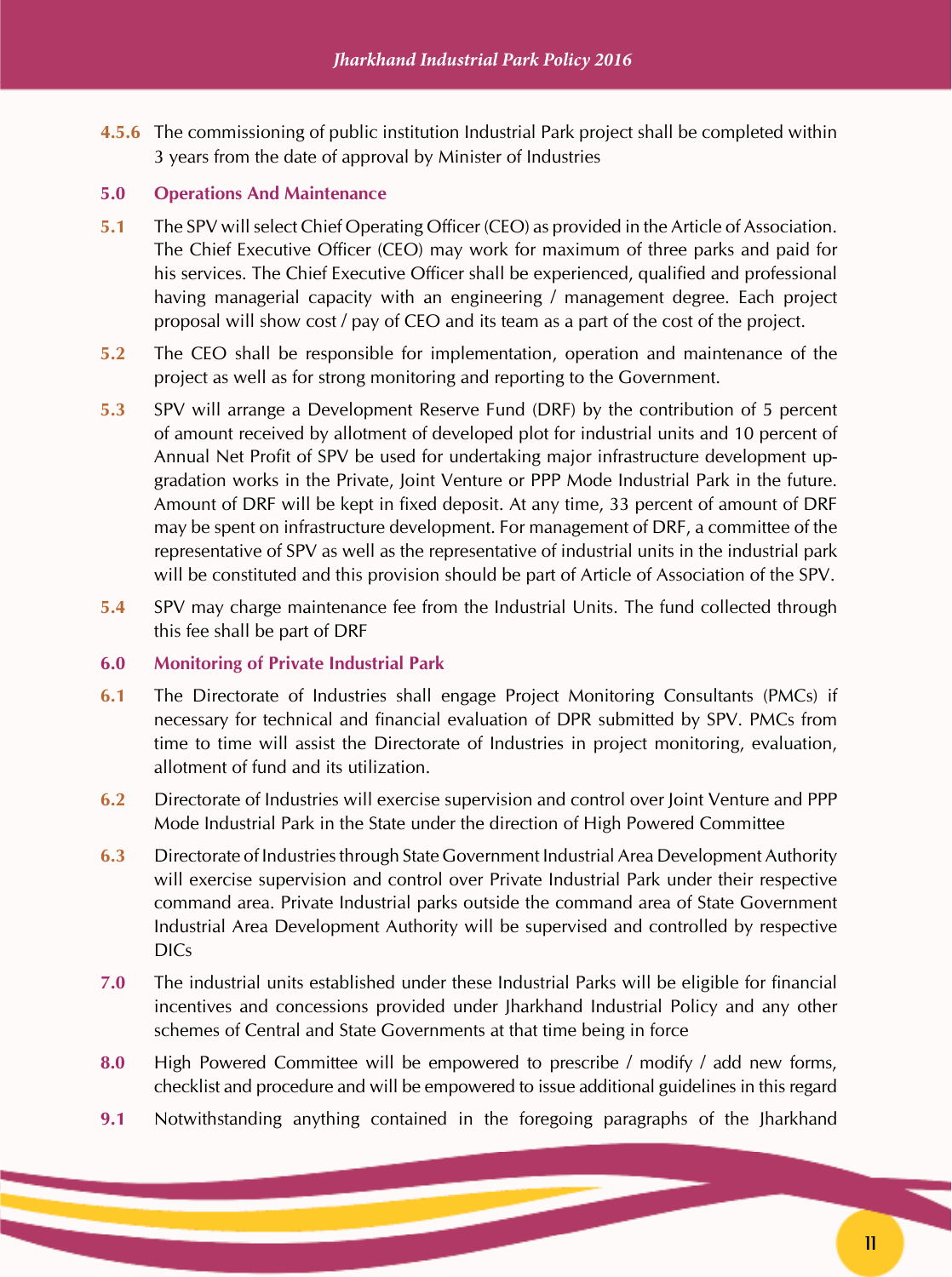**4.5.6** The commissioning of public institution Industrial Park project shall be completed within 3 years from the date of approval by Minister of Industries

#### **5.0 Operations And Maintenance**

- **5.1** The SPV will select Chief Operating Officer (CEO) as provided in the Article of Association. The Chief Executive Officer (CEO) may work for maximum of three parks and paid for his services. The Chief Executive Officer shall be experienced, qualified and professional having managerial capacity with an engineering / management degree. Each project proposal will show cost / pay of CEO and its team as a part of the cost of the project.
- **5.2** The CEO shall be responsible for implementation, operation and maintenance of the project as well as for strong monitoring and reporting to the Government.
- **5.3** SPV will arrange a Development Reserve Fund (DRF) by the contribution of 5 percent of amount received by allotment of developed plot for industrial units and 10 percent of Annual Net Profit of SPV be used for undertaking major infrastructure development upgradation works in the Private, Joint Venture or PPP Mode Industrial Park in the future. Amount of DRF will be kept in fixed deposit. At any time, 33 percent of amount of DRF may be spent on infrastructure development. For management of DRF, a committee of the representative of SPV as well as the representative of industrial units in the industrial park will be constituted and this provision should be part of Article of Association of the SPV.
- **5.4** SPV may charge maintenance fee from the Industrial Units. The fund collected through this fee shall be part of DRF

#### **6.0 Monitoring of Private Industrial Park**

- **6.1** The Directorate of Industries shall engage Project Monitoring Consultants (PMCs) if necessary for technical and financial evaluation of DPR submitted by SPV. PMCs from time to time will assist the Directorate of Industries in project monitoring, evaluation, allotment of fund and its utilization.
- **6.2** Directorate of Industries will exercise supervision and control over Joint Venture and PPP Mode Industrial Park in the State under the direction of High Powered Committee
- **6.3** Directorate of Industries through State Government Industrial Area Development Authority will exercise supervision and control over Private Industrial Park under their respective command area. Private Industrial parks outside the command area of State Government Industrial Area Development Authority will be supervised and controlled by respective DICs
- **7.0** The industrial units established under these Industrial Parks will be eligible for financial incentives and concessions provided under Jharkhand Industrial Policy and any other schemes of Central and State Governments at that time being in force
- **8.0** High Powered Committee will be empowered to prescribe / modify / add new forms, checklist and procedure and will be empowered to issue additional guidelines in this regard
- **9.1** Notwithstanding anything contained in the foregoing paragraphs of the Jharkhand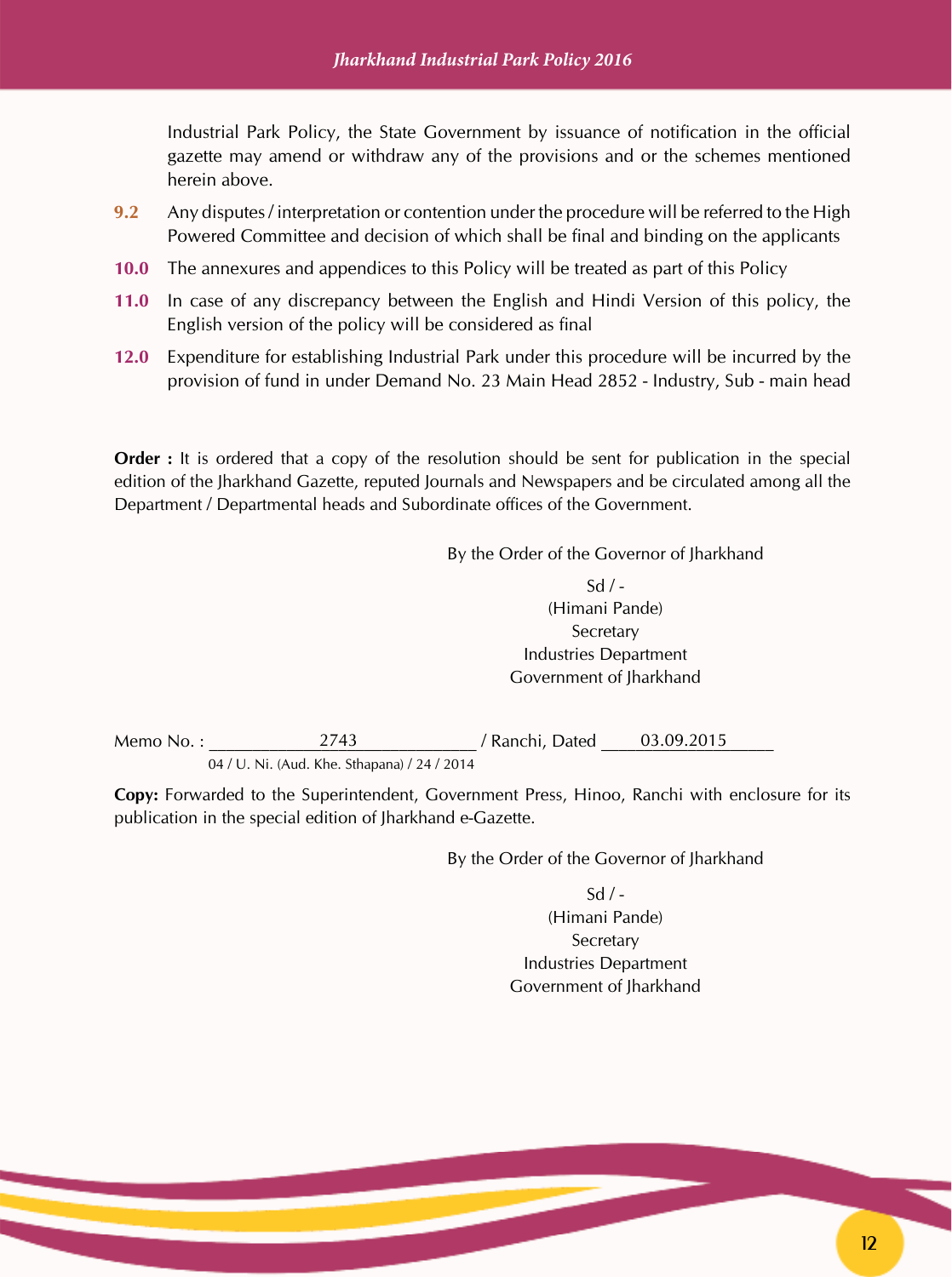Industrial Park Policy, the State Government by issuance of notification in the official gazette may amend or withdraw any of the provisions and or the schemes mentioned herein above.

- **9.2** Any disputes / interpretation or contention under the procedure will be referred to the High Powered Committee and decision of which shall be final and binding on the applicants
- **10.0** The annexures and appendices to this Policy will be treated as part of this Policy
- **11.0** In case of any discrepancy between the English and Hindi Version of this policy, the English version of the policy will be considered as final
- **12.0** Expenditure for establishing Industrial Park under this procedure will be incurred by the provision of fund in under Demand No. 23 Main Head 2852 - Industry, Sub - main head

**Order**: It is ordered that a copy of the resolution should be sent for publication in the special edition of the Jharkhand Gazette, reputed Journals and Newspapers and be circulated among all the Department / Departmental heads and Subordinate offices of the Government.

By the Order of the Governor of Jharkhand

 $Sd / -$ (Himani Pande) **Secretary** Industries Department Government of Jharkhand

Memo No. : \_\_\_\_\_\_\_\_\_\_\_\_\_\_\_\_\_\_\_\_\_\_\_\_\_\_\_\_\_\_\_ / Ranchi, Dated \_\_\_\_\_\_\_\_\_\_\_\_\_\_\_\_\_\_\_\_ 04 / U. Ni. (Aud. Khe. Sthapana) / 24 / 2014 2743 / Ranchi, Dated 03.09.2015

**Copy:** Forwarded to the Superintendent, Government Press, Hinoo, Ranchi with enclosure for its publication in the special edition of Jharkhand e-Gazette.

By the Order of the Governor of Jharkhand

 $Sd / -$ (Himani Pande)

Secretary Industries Department Government of Jharkhand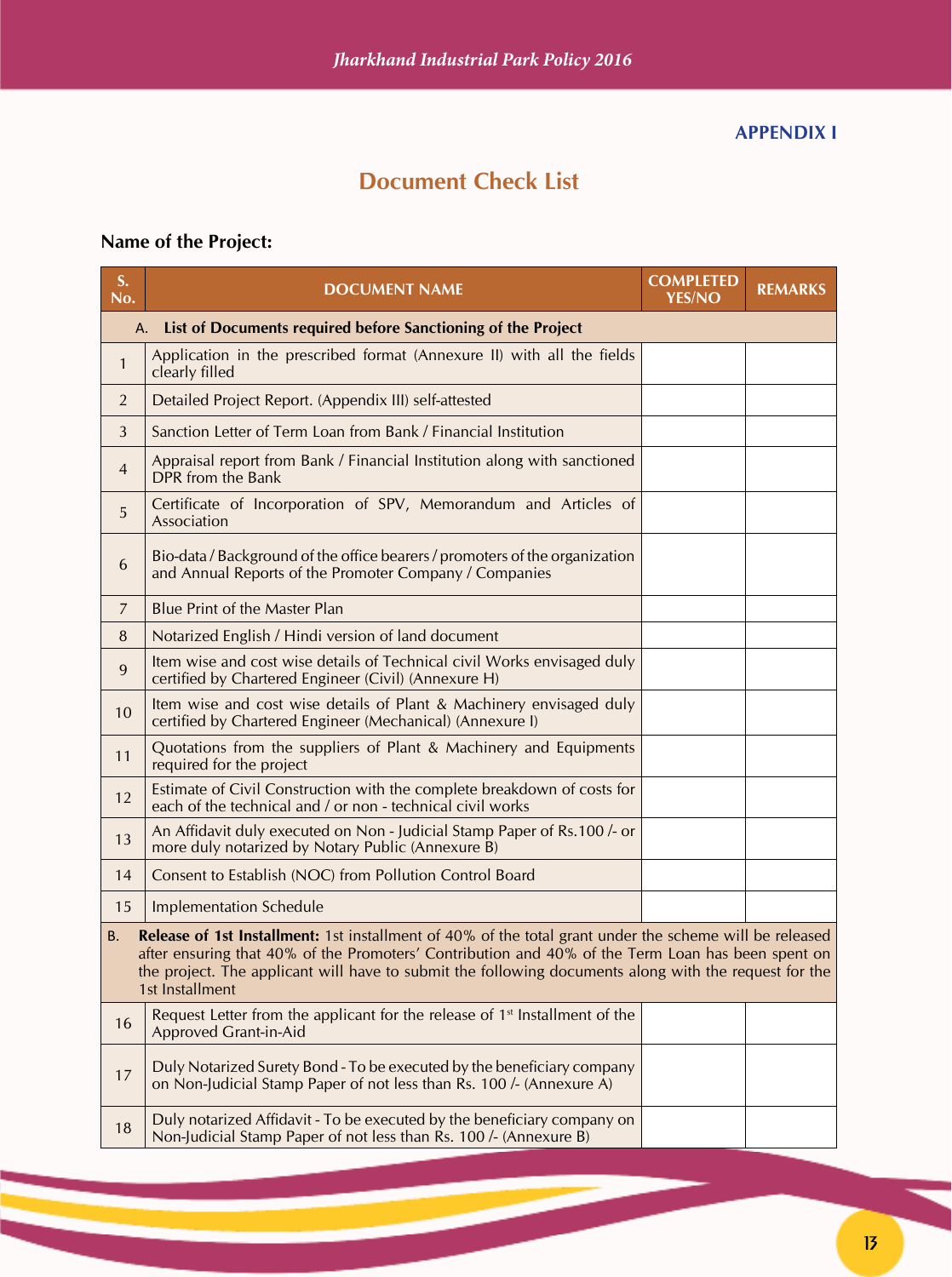#### **APPENDIX I**

# **Document Check List**

# **Name of the Project:**

| S.<br>No.                                                                                                                                                                                                                                                                                                                                             | <b>DOCUMENT NAME</b>                                                                                                                           | <b>COMPLETED</b><br><b>YES/NO</b> | <b>REMARKS</b> |
|-------------------------------------------------------------------------------------------------------------------------------------------------------------------------------------------------------------------------------------------------------------------------------------------------------------------------------------------------------|------------------------------------------------------------------------------------------------------------------------------------------------|-----------------------------------|----------------|
| А.                                                                                                                                                                                                                                                                                                                                                    | List of Documents required before Sanctioning of the Project                                                                                   |                                   |                |
| $\mathbf{1}$                                                                                                                                                                                                                                                                                                                                          | Application in the prescribed format (Annexure II) with all the fields<br>clearly filled                                                       |                                   |                |
| $\overline{2}$                                                                                                                                                                                                                                                                                                                                        | Detailed Project Report. (Appendix III) self-attested                                                                                          |                                   |                |
| 3                                                                                                                                                                                                                                                                                                                                                     | Sanction Letter of Term Loan from Bank / Financial Institution                                                                                 |                                   |                |
| $\overline{4}$                                                                                                                                                                                                                                                                                                                                        | Appraisal report from Bank / Financial Institution along with sanctioned<br>DPR from the Bank                                                  |                                   |                |
| 5                                                                                                                                                                                                                                                                                                                                                     | Certificate of Incorporation of SPV, Memorandum and Articles of<br>Association                                                                 |                                   |                |
| 6                                                                                                                                                                                                                                                                                                                                                     | Bio-data / Background of the office bearers / promoters of the organization<br>and Annual Reports of the Promoter Company / Companies          |                                   |                |
| $\overline{7}$                                                                                                                                                                                                                                                                                                                                        | <b>Blue Print of the Master Plan</b>                                                                                                           |                                   |                |
| 8                                                                                                                                                                                                                                                                                                                                                     | Notarized English / Hindi version of land document                                                                                             |                                   |                |
| $\overline{9}$                                                                                                                                                                                                                                                                                                                                        | Item wise and cost wise details of Technical civil Works envisaged duly<br>certified by Chartered Engineer (Civil) (Annexure H)                |                                   |                |
| 10                                                                                                                                                                                                                                                                                                                                                    | Item wise and cost wise details of Plant & Machinery envisaged duly<br>certified by Chartered Engineer (Mechanical) (Annexure I)               |                                   |                |
| 11                                                                                                                                                                                                                                                                                                                                                    | Quotations from the suppliers of Plant & Machinery and Equipments<br>required for the project                                                  |                                   |                |
| 12                                                                                                                                                                                                                                                                                                                                                    | Estimate of Civil Construction with the complete breakdown of costs for<br>each of the technical and / or non - technical civil works          |                                   |                |
| 13                                                                                                                                                                                                                                                                                                                                                    | An Affidavit duly executed on Non - Judicial Stamp Paper of Rs.100 /- or<br>more duly notarized by Notary Public (Annexure B)                  |                                   |                |
| 14                                                                                                                                                                                                                                                                                                                                                    | Consent to Establish (NOC) from Pollution Control Board                                                                                        |                                   |                |
| 15                                                                                                                                                                                                                                                                                                                                                    | <b>Implementation Schedule</b>                                                                                                                 |                                   |                |
| <b>Release of 1st Installment:</b> 1st installment of 40% of the total grant under the scheme will be released<br>B.<br>after ensuring that 40% of the Promoters' Contribution and 40% of the Term Loan has been spent on<br>the project. The applicant will have to submit the following documents along with the request for the<br>1st Installment |                                                                                                                                                |                                   |                |
| 16                                                                                                                                                                                                                                                                                                                                                    | Request Letter from the applicant for the release of 1 <sup>st</sup> Installment of the<br><b>Approved Grant-in-Aid</b>                        |                                   |                |
| 17                                                                                                                                                                                                                                                                                                                                                    | Duly Notarized Surety Bond - To be executed by the beneficiary company<br>on Non-Judicial Stamp Paper of not less than Rs. 100 /- (Annexure A) |                                   |                |
| 18                                                                                                                                                                                                                                                                                                                                                    | Duly notarized Affidavit - To be executed by the beneficiary company on<br>Non-Judicial Stamp Paper of not less than Rs. 100 /- (Annexure B)   |                                   |                |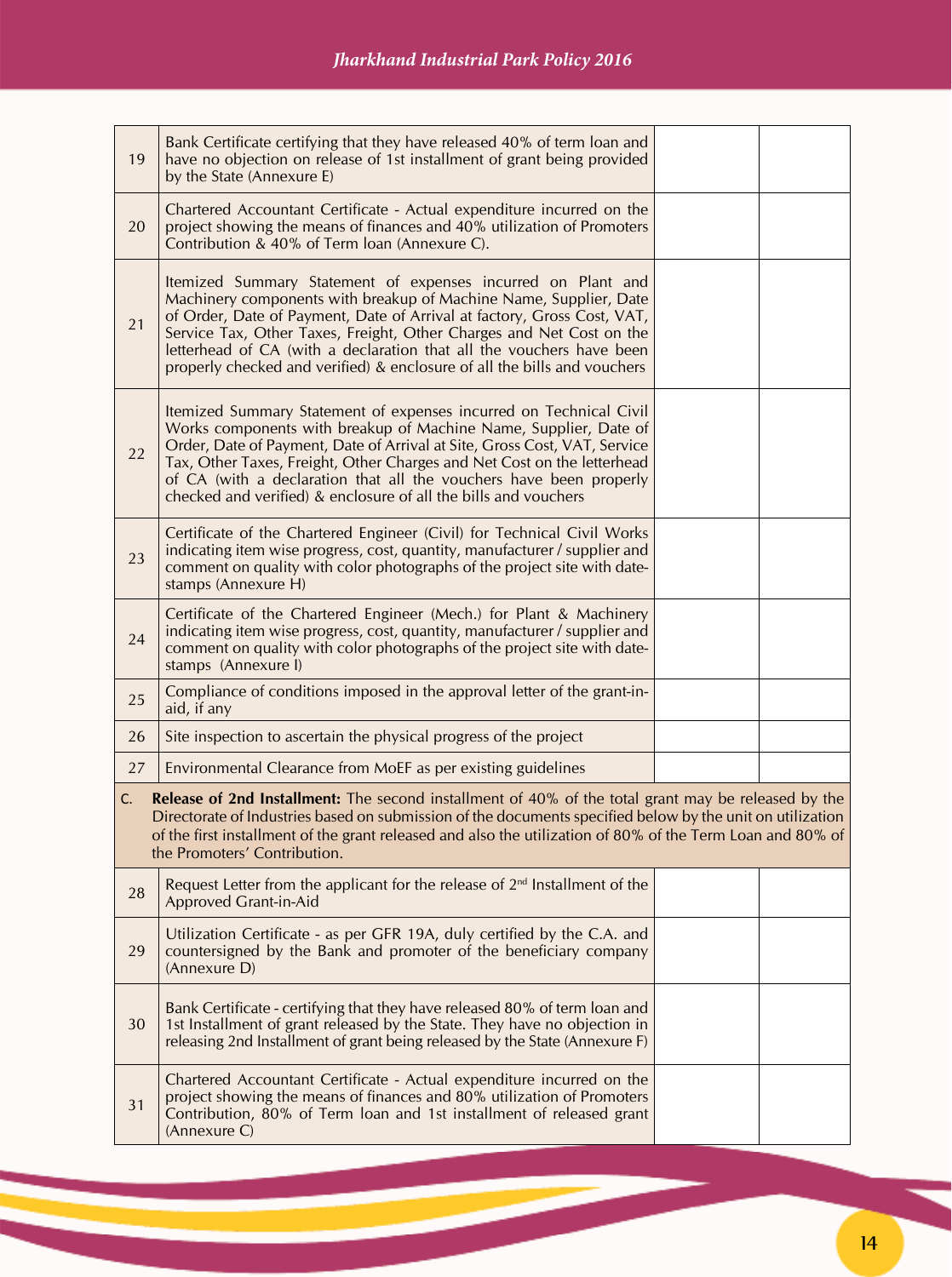| 19 | Bank Certificate certifying that they have released 40% of term loan and<br>have no objection on release of 1st installment of grant being provided<br>by the State (Annexure E)                                                                                                                                                                                                                                                         |  |
|----|------------------------------------------------------------------------------------------------------------------------------------------------------------------------------------------------------------------------------------------------------------------------------------------------------------------------------------------------------------------------------------------------------------------------------------------|--|
| 20 | Chartered Accountant Certificate - Actual expenditure incurred on the<br>project showing the means of finances and 40% utilization of Promoters<br>Contribution & 40% of Term loan (Annexure C).                                                                                                                                                                                                                                         |  |
| 21 | Itemized Summary Statement of expenses incurred on Plant and<br>Machinery components with breakup of Machine Name, Supplier, Date<br>of Order, Date of Payment, Date of Arrival at factory, Gross Cost, VAT,<br>Service Tax, Other Taxes, Freight, Other Charges and Net Cost on the<br>letterhead of CA (with a declaration that all the vouchers have been<br>properly checked and verified) & enclosure of all the bills and vouchers |  |
| 22 | Itemized Summary Statement of expenses incurred on Technical Civil<br>Works components with breakup of Machine Name, Supplier, Date of<br>Order, Date of Payment, Date of Arrival at Site, Gross Cost, VAT, Service<br>Tax, Other Taxes, Freight, Other Charges and Net Cost on the letterhead<br>of CA (with a declaration that all the vouchers have been properly<br>checked and verified) & enclosure of all the bills and vouchers  |  |
| 23 | Certificate of the Chartered Engineer (Civil) for Technical Civil Works<br>indicating item wise progress, cost, quantity, manufacturer / supplier and<br>comment on quality with color photographs of the project site with date-<br>stamps (Annexure H)                                                                                                                                                                                 |  |
| 24 | Certificate of the Chartered Engineer (Mech.) for Plant & Machinery<br>indicating item wise progress, cost, quantity, manufacturer / supplier and<br>comment on quality with color photographs of the project site with date-<br>stamps (Annexure I)                                                                                                                                                                                     |  |
| 25 | Compliance of conditions imposed in the approval letter of the grant-in-<br>aid, if any                                                                                                                                                                                                                                                                                                                                                  |  |
| 26 | Site inspection to ascertain the physical progress of the project                                                                                                                                                                                                                                                                                                                                                                        |  |
| 27 | Environmental Clearance from MoEF as per existing guidelines                                                                                                                                                                                                                                                                                                                                                                             |  |
| C. | <b>Release of 2nd Installment:</b> The second installment of 40% of the total grant may be released by the<br>Directorate of Industries based on submission of the documents specified below by the unit on utilization<br>of the first installment of the grant released and also the utilization of 80% of the Term Loan and 80% of<br>the Promoters' Contribution.                                                                    |  |
| 28 | Request Letter from the applicant for the release of $2nd$ Installment of the<br><b>Approved Grant-in-Aid</b>                                                                                                                                                                                                                                                                                                                            |  |
| 29 | Utilization Certificate - as per GFR 19A, duly certified by the C.A. and<br>countersigned by the Bank and promoter of the beneficiary company<br>(Annexure D)                                                                                                                                                                                                                                                                            |  |
| 30 | Bank Certificate - certifying that they have released 80% of term loan and<br>1st Installment of grant released by the State. They have no objection in<br>releasing 2nd Installment of grant being released by the State (Annexure F)                                                                                                                                                                                                   |  |
| 31 | Chartered Accountant Certificate - Actual expenditure incurred on the<br>project showing the means of finances and 80% utilization of Promoters<br>Contribution, 80% of Term loan and 1st installment of released grant<br>(Annexure C)                                                                                                                                                                                                  |  |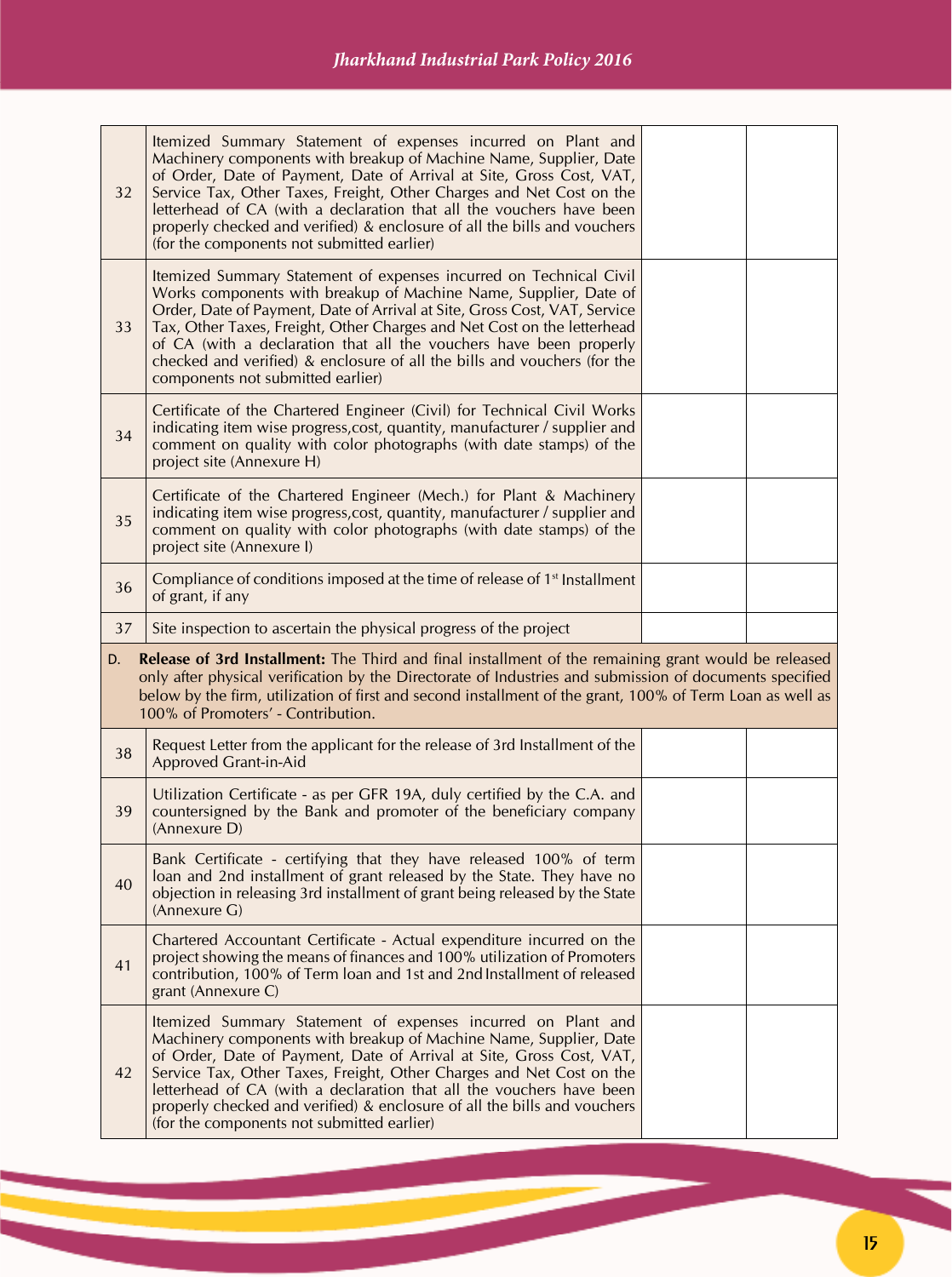| 32 | Itemized Summary Statement of expenses incurred on Plant and<br>Machinery components with breakup of Machine Name, Supplier, Date<br>of Order, Date of Payment, Date of Arrival at Site, Gross Cost, VAT,<br>Service Tax, Other Taxes, Freight, Other Charges and Net Cost on the<br>letterhead of CA (with a declaration that all the vouchers have been<br>properly checked and verified) & enclosure of all the bills and vouchers<br>(for the components not submitted earlier)   |  |
|----|---------------------------------------------------------------------------------------------------------------------------------------------------------------------------------------------------------------------------------------------------------------------------------------------------------------------------------------------------------------------------------------------------------------------------------------------------------------------------------------|--|
| 33 | Itemized Summary Statement of expenses incurred on Technical Civil<br>Works components with breakup of Machine Name, Supplier, Date of<br>Order, Date of Payment, Date of Arrival at Site, Gross Cost, VAT, Service<br>Tax, Other Taxes, Freight, Other Charges and Net Cost on the letterhead<br>of CA (with a declaration that all the vouchers have been properly<br>checked and verified) & enclosure of all the bills and vouchers (for the<br>components not submitted earlier) |  |
| 34 | Certificate of the Chartered Engineer (Civil) for Technical Civil Works<br>indicating item wise progress, cost, quantity, manufacturer / supplier and<br>comment on quality with color photographs (with date stamps) of the<br>project site (Annexure H)                                                                                                                                                                                                                             |  |
| 35 | Certificate of the Chartered Engineer (Mech.) for Plant & Machinery<br>indicating item wise progress, cost, quantity, manufacturer / supplier and<br>comment on quality with color photographs (with date stamps) of the<br>project site (Annexure I)                                                                                                                                                                                                                                 |  |
| 36 | Compliance of conditions imposed at the time of release of 1 <sup>st</sup> Installment<br>of grant, if any                                                                                                                                                                                                                                                                                                                                                                            |  |
| 37 | Site inspection to ascertain the physical progress of the project                                                                                                                                                                                                                                                                                                                                                                                                                     |  |
| D. | Release of 3rd Installment: The Third and final installment of the remaining grant would be released<br>only after physical verification by the Directorate of Industries and submission of documents specified<br>below by the firm, utilization of first and second installment of the grant, 100% of Term Loan as well as<br>100% of Promoters' - Contribution.                                                                                                                    |  |
| 38 |                                                                                                                                                                                                                                                                                                                                                                                                                                                                                       |  |
|    | Request Letter from the applicant for the release of 3rd Installment of the<br>Approved Grant-in-Aid                                                                                                                                                                                                                                                                                                                                                                                  |  |
| 39 | Utilization Certificate - as per GFR 19A, duly certified by the C.A. and<br>countersigned by the Bank and promoter of the beneficiary company<br>(Annexure D)                                                                                                                                                                                                                                                                                                                         |  |
| 40 | Bank Certificate - certifying that they have released 100% of term<br>loan and 2nd installment of grant released by the State. They have no<br>objection in releasing 3rd installment of grant being released by the State<br>(Annexure G)                                                                                                                                                                                                                                            |  |
| 41 | Chartered Accountant Certificate - Actual expenditure incurred on the<br>project showing the means of finances and 100% utilization of Promoters<br>contribution, 100% of Term loan and 1st and 2nd Installment of released<br>grant (Annexure C)                                                                                                                                                                                                                                     |  |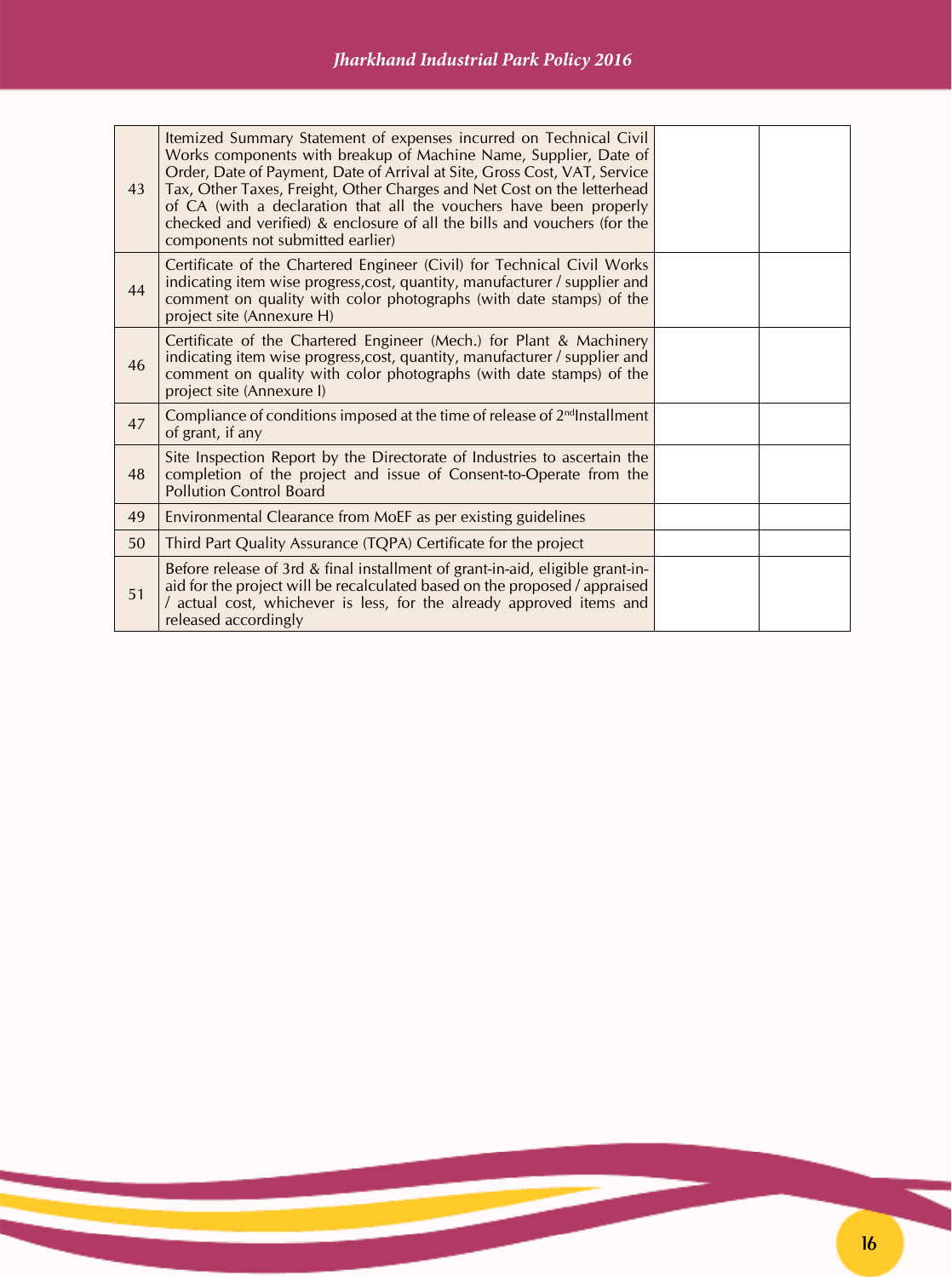| 43 | Itemized Summary Statement of expenses incurred on Technical Civil<br>Works components with breakup of Machine Name, Supplier, Date of<br>Order, Date of Payment, Date of Arrival at Site, Gross Cost, VAT, Service<br>Tax, Other Taxes, Freight, Other Charges and Net Cost on the letterhead<br>of CA (with a declaration that all the vouchers have been properly<br>checked and verified) & enclosure of all the bills and vouchers (for the<br>components not submitted earlier) |  |
|----|---------------------------------------------------------------------------------------------------------------------------------------------------------------------------------------------------------------------------------------------------------------------------------------------------------------------------------------------------------------------------------------------------------------------------------------------------------------------------------------|--|
| 44 | Certificate of the Chartered Engineer (Civil) for Technical Civil Works<br>indicating item wise progress, cost, quantity, manufacturer / supplier and<br>comment on quality with color photographs (with date stamps) of the<br>project site (Annexure H)                                                                                                                                                                                                                             |  |
| 46 | Certificate of the Chartered Engineer (Mech.) for Plant & Machinery<br>indicating item wise progress, cost, quantity, manufacturer / supplier and<br>comment on quality with color photographs (with date stamps) of the<br>project site (Annexure I)                                                                                                                                                                                                                                 |  |
| 47 | Compliance of conditions imposed at the time of release of 2 <sup>nd</sup> Installment<br>of grant, if any                                                                                                                                                                                                                                                                                                                                                                            |  |
| 48 | Site Inspection Report by the Directorate of Industries to ascertain the<br>completion of the project and issue of Consent-to-Operate from the<br><b>Pollution Control Board</b>                                                                                                                                                                                                                                                                                                      |  |
| 49 | Environmental Clearance from MoEF as per existing guidelines                                                                                                                                                                                                                                                                                                                                                                                                                          |  |
| 50 | Third Part Quality Assurance (TQPA) Certificate for the project                                                                                                                                                                                                                                                                                                                                                                                                                       |  |
| 51 | Before release of 3rd & final installment of grant-in-aid, eligible grant-in-<br>aid for the project will be recalculated based on the proposed / appraised<br>/ actual cost, whichever is less, for the already approved items and<br>released accordingly                                                                                                                                                                                                                           |  |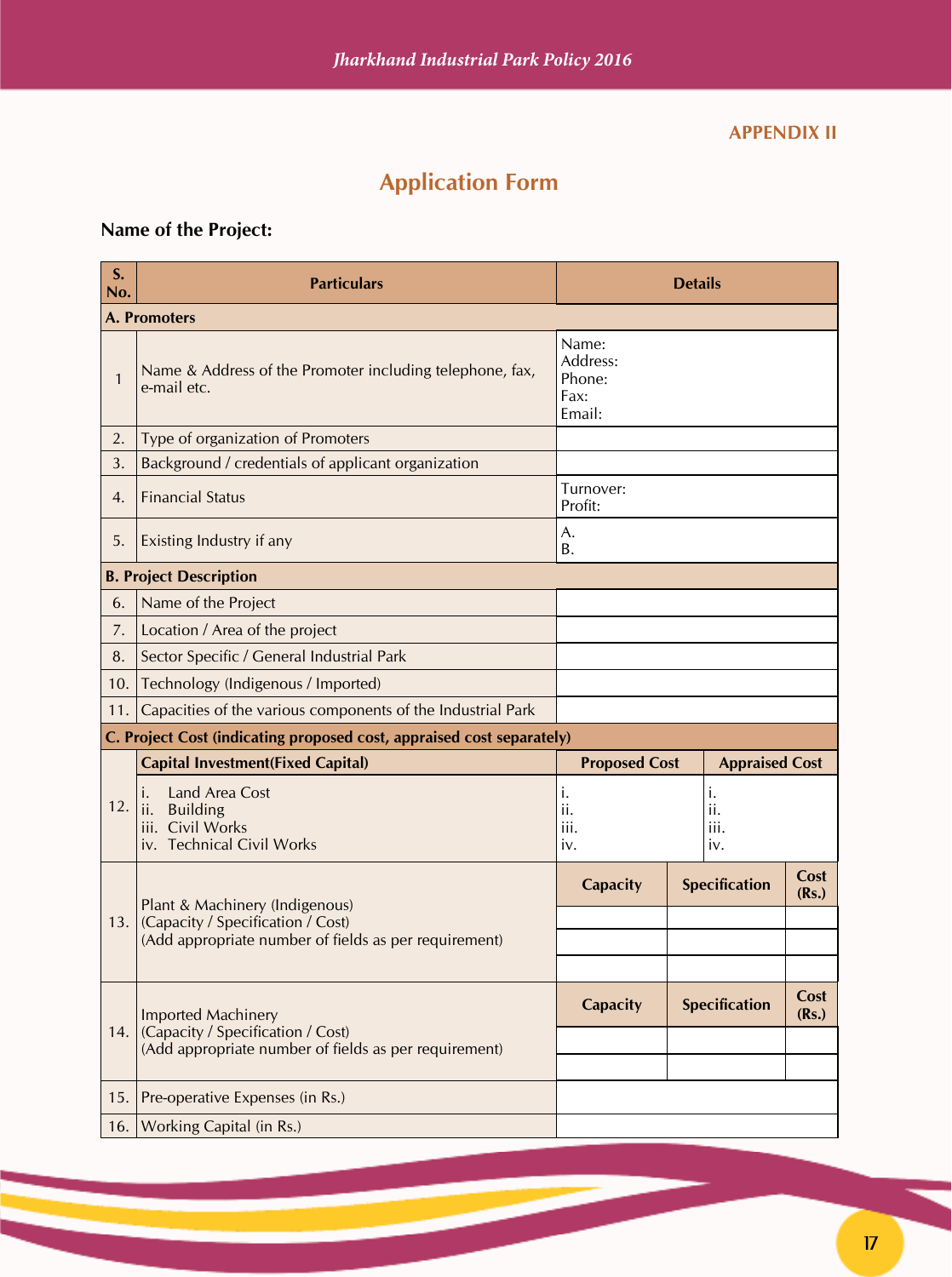#### **APPENDIX II**

# **Application Form**

# **Name of the Project:**

| S.<br>No. | <b>Particulars</b>                                                                              | <b>Details</b>                                |  |                          |               |
|-----------|-------------------------------------------------------------------------------------------------|-----------------------------------------------|--|--------------------------|---------------|
|           | A. Promoters                                                                                    |                                               |  |                          |               |
| 1         | Name & Address of the Promoter including telephone, fax,<br>e-mail etc.                         | Name:<br>Address:<br>Phone:<br>Fax:<br>Email: |  |                          |               |
| 2.        | Type of organization of Promoters                                                               |                                               |  |                          |               |
| 3.        | Background / credentials of applicant organization                                              |                                               |  |                          |               |
| 4.        | <b>Financial Status</b>                                                                         | Turnover:<br>Profit:                          |  |                          |               |
| 5.        | Existing Industry if any                                                                        | A.<br><b>B.</b>                               |  |                          |               |
|           | <b>B. Project Description</b>                                                                   |                                               |  |                          |               |
| 6.        | Name of the Project                                                                             |                                               |  |                          |               |
| 7.        | Location / Area of the project                                                                  |                                               |  |                          |               |
| 8.        | Sector Specific / General Industrial Park                                                       |                                               |  |                          |               |
| 10.       | Technology (Indigenous / Imported)                                                              |                                               |  |                          |               |
| 11.       | Capacities of the various components of the Industrial Park                                     |                                               |  |                          |               |
|           | C. Project Cost (indicating proposed cost, appraised cost separately)                           |                                               |  |                          |               |
|           | <b>Capital Investment(Fixed Capital)</b>                                                        | <b>Proposed Cost</b>                          |  | <b>Appraised Cost</b>    |               |
| 12.       | Land Area Cost<br>ı.<br><b>Building</b><br>ii.<br>iii. Civil Works<br>iv. Technical Civil Works | i.<br>ii.<br>iii.<br>iv.                      |  | i.<br>ii.<br>iii.<br>iv. |               |
|           | Plant & Machinery (Indigenous)                                                                  | <b>Capacity</b>                               |  | Specification            | Cost<br>(Rs.) |
| 13.1      | (Capacity / Specification / Cost)                                                               |                                               |  |                          |               |
|           | (Add appropriate number of fields as per requirement)                                           |                                               |  |                          |               |
|           |                                                                                                 |                                               |  |                          |               |
|           | <b>Imported Machinery</b>                                                                       | <b>Capacity</b>                               |  | <b>Specification</b>     | Cost<br>(Rs.) |
|           | 14. (Capacity / Specification / Cost)<br>(Add appropriate number of fields as per requirement)  |                                               |  |                          |               |
|           |                                                                                                 |                                               |  |                          |               |
| 15.       | Pre-operative Expenses (in Rs.)                                                                 |                                               |  |                          |               |
| 16.       | Working Capital (in Rs.)                                                                        |                                               |  |                          |               |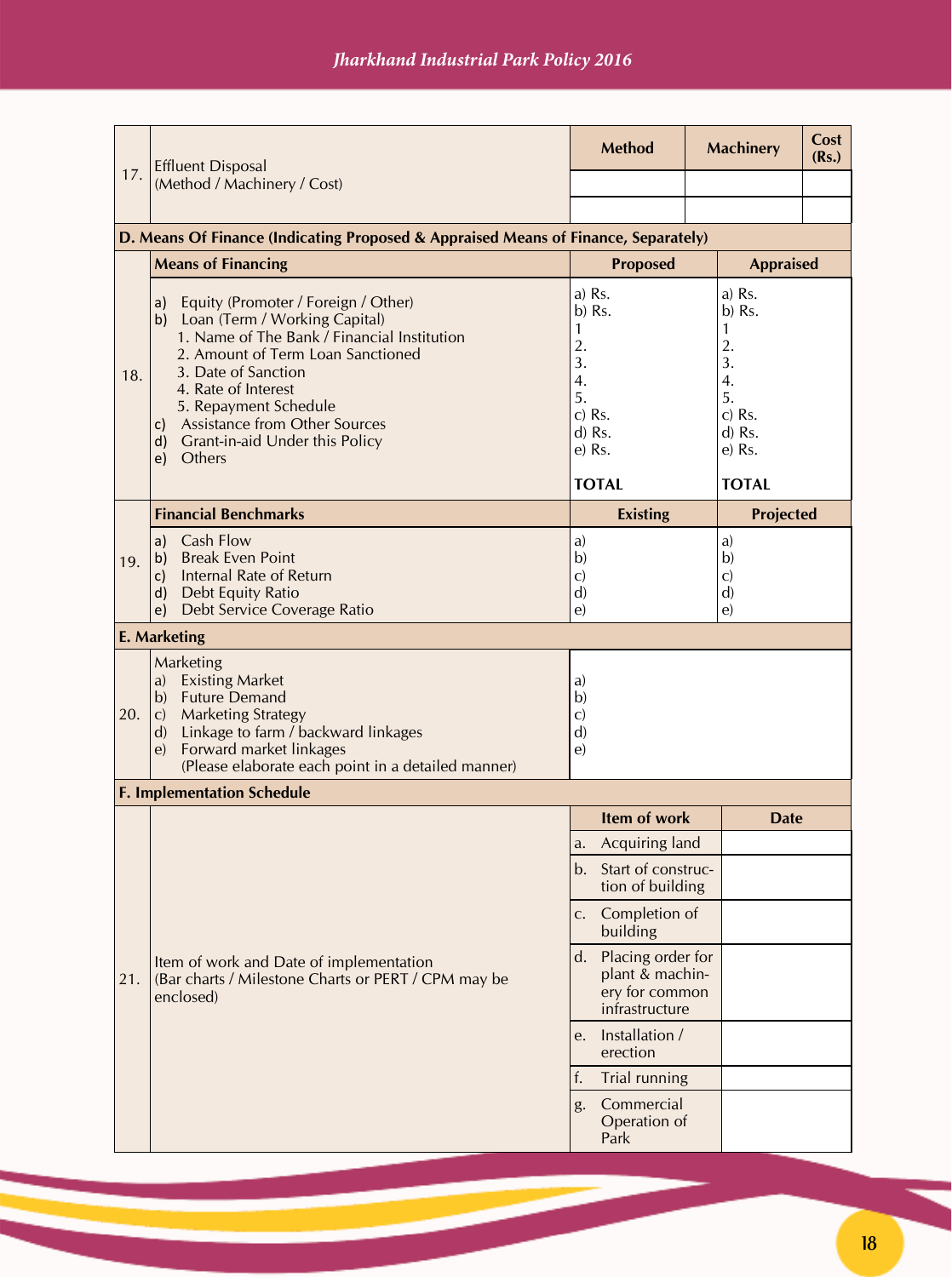|     | <b>Effluent Disposal</b>                                                                                                                                                                                                                                                                                                          | <b>Method</b>                                                                                                                                                                                                   |  | <b>Machinery</b>                                       | Cost<br>(Rs.) |
|-----|-----------------------------------------------------------------------------------------------------------------------------------------------------------------------------------------------------------------------------------------------------------------------------------------------------------------------------------|-----------------------------------------------------------------------------------------------------------------------------------------------------------------------------------------------------------------|--|--------------------------------------------------------|---------------|
| 17. | (Method / Machinery / Cost)                                                                                                                                                                                                                                                                                                       |                                                                                                                                                                                                                 |  |                                                        |               |
|     |                                                                                                                                                                                                                                                                                                                                   |                                                                                                                                                                                                                 |  |                                                        |               |
|     | D. Means Of Finance (Indicating Proposed & Appraised Means of Finance, Separately)<br><b>Means of Financing</b>                                                                                                                                                                                                                   | <b>Proposed</b>                                                                                                                                                                                                 |  | <b>Appraised</b>                                       |               |
| 18. | Equity (Promoter / Foreign / Other)<br>a)<br>b) Loan (Term / Working Capital)<br>1. Name of The Bank / Financial Institution<br>2. Amount of Term Loan Sanctioned<br>3. Date of Sanction<br>4. Rate of Interest<br>5. Repayment Schedule<br>c) Assistance from Other Sources<br>d) Grant-in-aid Under this Policy<br>Others<br>e) | $a)$ Rs.<br>a) Rs.<br>b) Rs.<br>$b)$ Rs.<br>$\mathbf{1}$<br>1<br>2.<br>2.<br>3.<br>3.<br>4.<br>4.<br>5.<br>5.<br>$c)$ Rs.<br>$c)$ Rs.<br>d) Rs.<br>$d)$ Rs.<br>e) Rs.<br>e) Rs.<br><b>TOTAL</b><br><b>TOTAL</b> |  |                                                        |               |
|     | <b>Financial Benchmarks</b>                                                                                                                                                                                                                                                                                                       | <b>Existing</b>                                                                                                                                                                                                 |  | <b>Projected</b>                                       |               |
| 19. | Cash Flow<br>a)<br><b>Break Even Point</b><br>b)<br><b>Internal Rate of Return</b><br>C)<br>Debt Equity Ratio<br>d)<br>Debt Service Coverage Ratio<br>e)                                                                                                                                                                          | a)<br>b)<br>$\mathbf{C}$<br>$\mathbf{d}$<br>e)                                                                                                                                                                  |  | a)<br>b)<br>$\mathbf{C}$<br>$\mathbf{d}$<br>$\epsilon$ |               |
|     | <b>E. Marketing</b>                                                                                                                                                                                                                                                                                                               |                                                                                                                                                                                                                 |  |                                                        |               |
| 20. | Marketing<br>a) Existing Market<br>b) Future Demand<br><b>Marketing Strategy</b><br>$\mathbf{C}$<br>Linkage to farm / backward linkages<br>$\mathbf{d}$<br>Forward market linkages<br>$\epsilon$ )<br>(Please elaborate each point in a detailed manner)                                                                          | a)<br>b)<br>$\mathbf{C}$<br>$\mathbf{d}$<br>$\epsilon$                                                                                                                                                          |  |                                                        |               |
|     | <b>F. Implementation Schedule</b>                                                                                                                                                                                                                                                                                                 |                                                                                                                                                                                                                 |  |                                                        |               |
|     |                                                                                                                                                                                                                                                                                                                                   | Item of work                                                                                                                                                                                                    |  | <b>Date</b>                                            |               |
|     |                                                                                                                                                                                                                                                                                                                                   | Acquiring land<br>a.<br>Start of construc-<br>b.<br>tion of building                                                                                                                                            |  |                                                        |               |
|     |                                                                                                                                                                                                                                                                                                                                   | Completion of<br>$C_{\star}$<br>building                                                                                                                                                                        |  |                                                        |               |
| 21. | Item of work and Date of implementation<br>(Bar charts / Milestone Charts or PERT / CPM may be<br>enclosed)                                                                                                                                                                                                                       | d. Placing order for<br>plant & machin-<br>ery for common<br>infrastructure                                                                                                                                     |  |                                                        |               |
|     |                                                                                                                                                                                                                                                                                                                                   | Installation /<br>e.<br>erection                                                                                                                                                                                |  |                                                        |               |
|     |                                                                                                                                                                                                                                                                                                                                   | Trial running<br>f.                                                                                                                                                                                             |  |                                                        |               |
|     |                                                                                                                                                                                                                                                                                                                                   | Commercial<br>g.<br>Operation of<br>Park                                                                                                                                                                        |  |                                                        |               |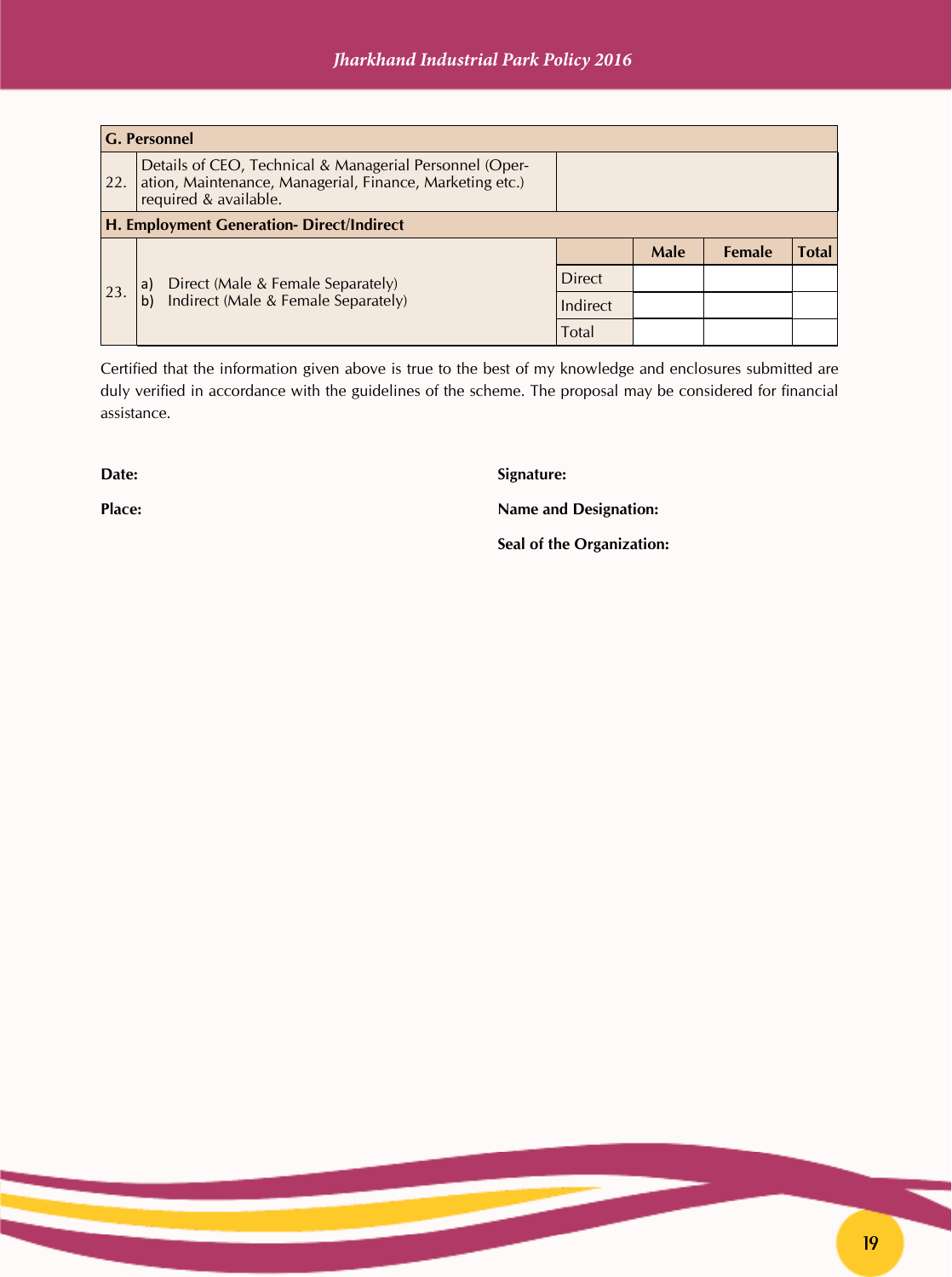| <b>G. Personnel</b> |                                                                                                                                              |               |             |               |              |
|---------------------|----------------------------------------------------------------------------------------------------------------------------------------------|---------------|-------------|---------------|--------------|
| 22.                 | Details of CEO, Technical & Managerial Personnel (Oper-<br>ation, Maintenance, Managerial, Finance, Marketing etc.)<br>required & available. |               |             |               |              |
|                     | H. Employment Generation-Direct/Indirect                                                                                                     |               |             |               |              |
|                     |                                                                                                                                              |               | <b>Male</b> | <b>Female</b> | <b>Total</b> |
| 23.                 | Direct (Male & Female Separately)<br>a)<br>Indirect (Male & Female Separately)                                                               | <b>Direct</b> |             |               |              |
|                     |                                                                                                                                              | Indirect      |             |               |              |
|                     |                                                                                                                                              | Total         |             |               |              |

Certified that the information given above is true to the best of my knowledge and enclosures submitted are duly verified in accordance with the guidelines of the scheme. The proposal may be considered for financial assistance.

**Date:** Signature:

**Place:** Name and Designation:

 **Seal of the Organization:**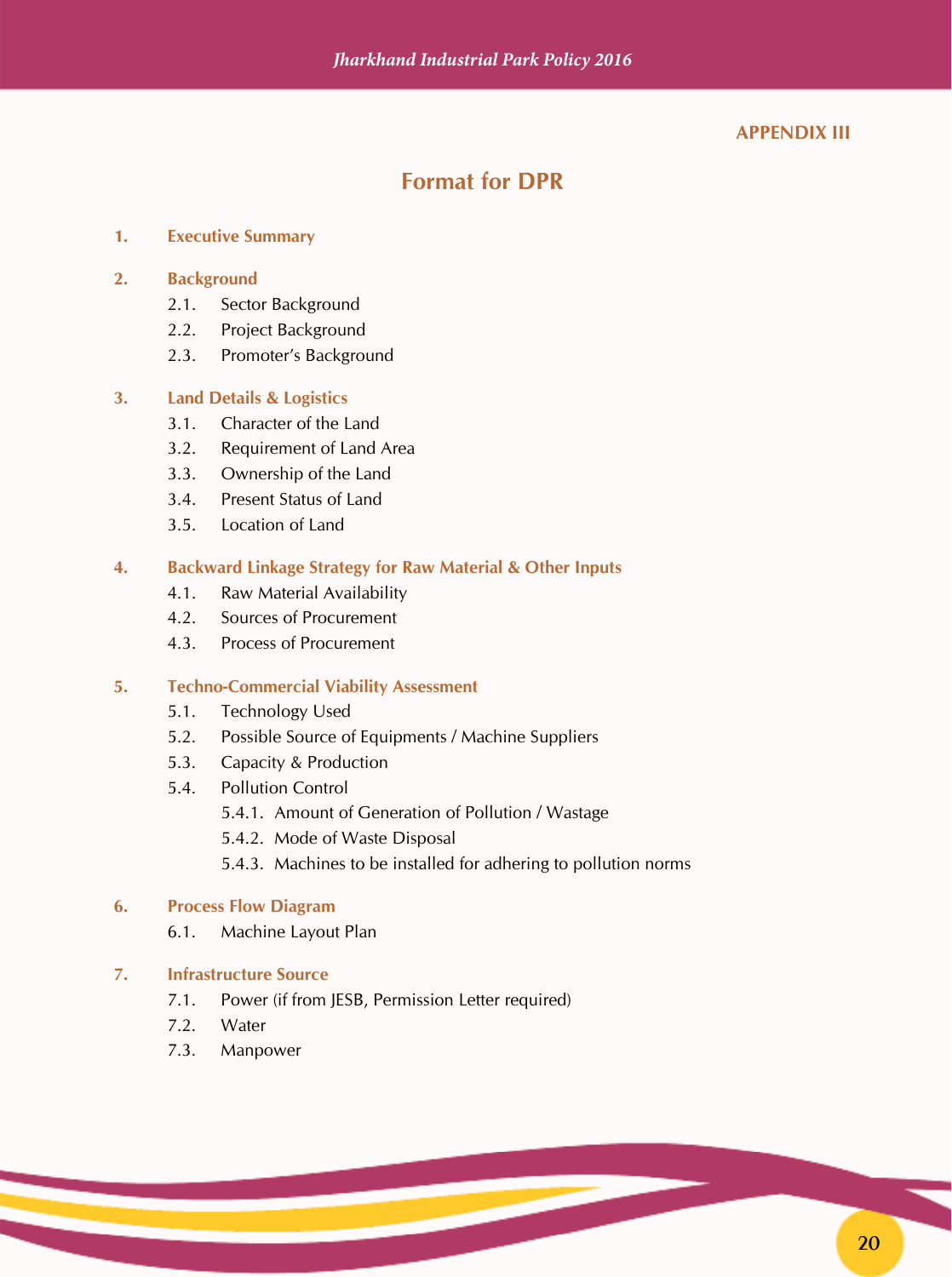#### **APPENDIX III**

## **Format for DPR**

#### **1. Executive Summary**

#### **2. Background**

- 2.1. Sector Background
- 2.2. Project Background
- 2.3. Promoter's Background

#### **3. Land Details & Logistics**

- 3.1. Character of the Land
- 3.2. Requirement of Land Area
- 3.3. Ownership of the Land
- 3.4. Present Status of Land
- 3.5. Location of Land

#### **4. Backward Linkage Strategy for Raw Material & Other Inputs**

- 4.1. Raw Material Availability
- 4.2. Sources of Procurement
- 4.3. Process of Procurement

#### **5. Techno-Commercial Viability Assessment**

- 5.1. Technology Used
- 5.2. Possible Source of Equipments / Machine Suppliers
- 5.3. Capacity & Production
- 5.4. Pollution Control
	- 5.4.1. Amount of Generation of Pollution / Wastage
	- 5.4.2. Mode of Waste Disposal
	- 5.4.3. Machines to be installed for adhering to pollution norms

#### **6. Process Flow Diagram**

6.1. Machine Layout Plan

#### **7. Infrastructure Source**

- 7.1. Power (if from JESB, Permission Letter required)
- 7.2. Water
- 7.3. Manpower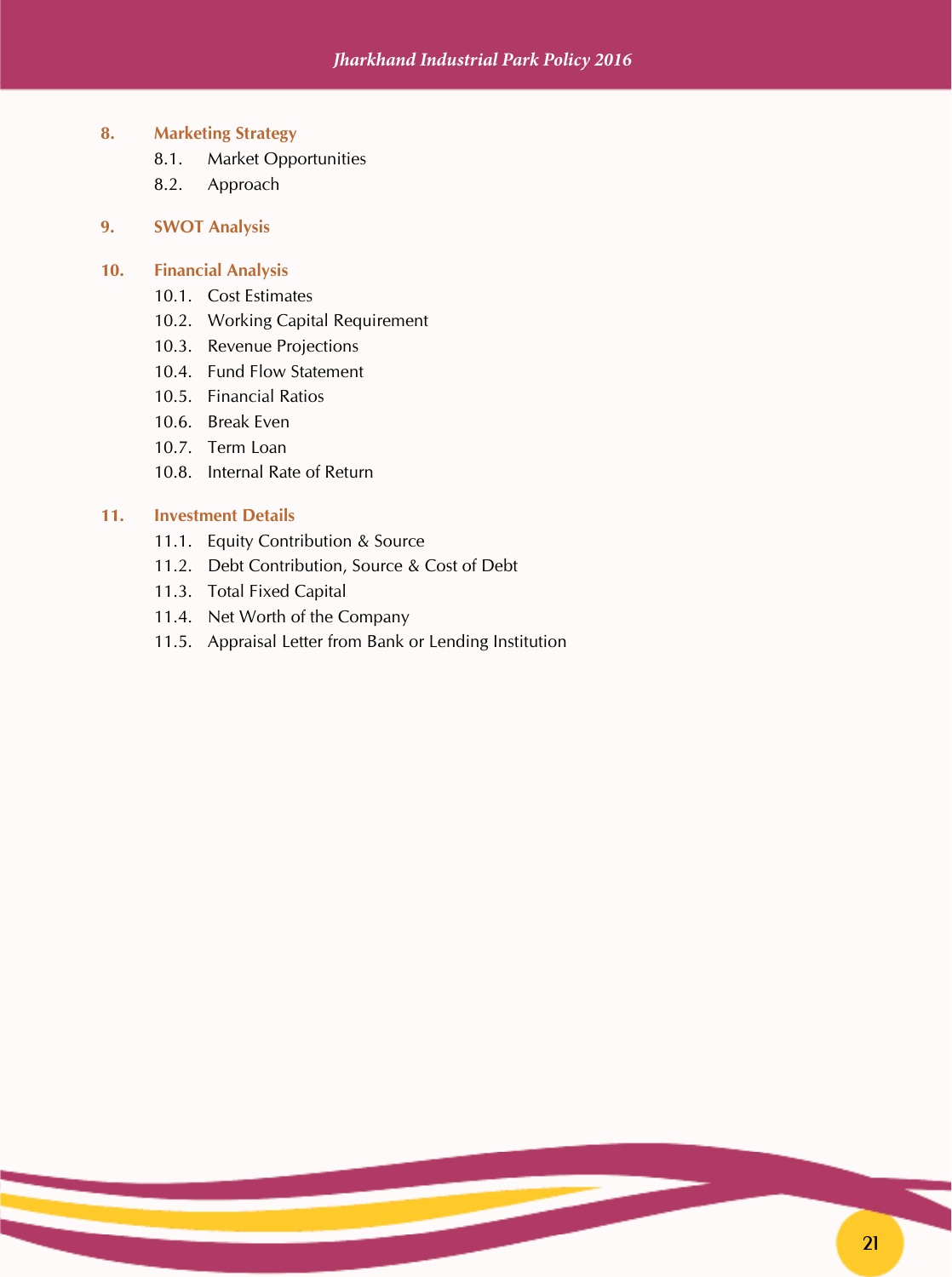- **8. Marketing Strategy**
	- 8.1. Market Opportunities
	- 8.2. Approach

#### **9. SWOT Analysis**

#### **10. Financial Analysis**

- 10.1. Cost Estimates
- 10.2. Working Capital Requirement
- 10.3. Revenue Projections
- 10.4. Fund Flow Statement
- 10.5. Financial Ratios
- 10.6. Break Even
- 10.7. Term Loan
- 10.8. Internal Rate of Return

#### **11. Investment Details**

- 11.1. Equity Contribution & Source
- 11.2. Debt Contribution, Source & Cost of Debt
- 11.3. Total Fixed Capital
- 11.4. Net Worth of the Company
- 11.5. Appraisal Letter from Bank or Lending Institution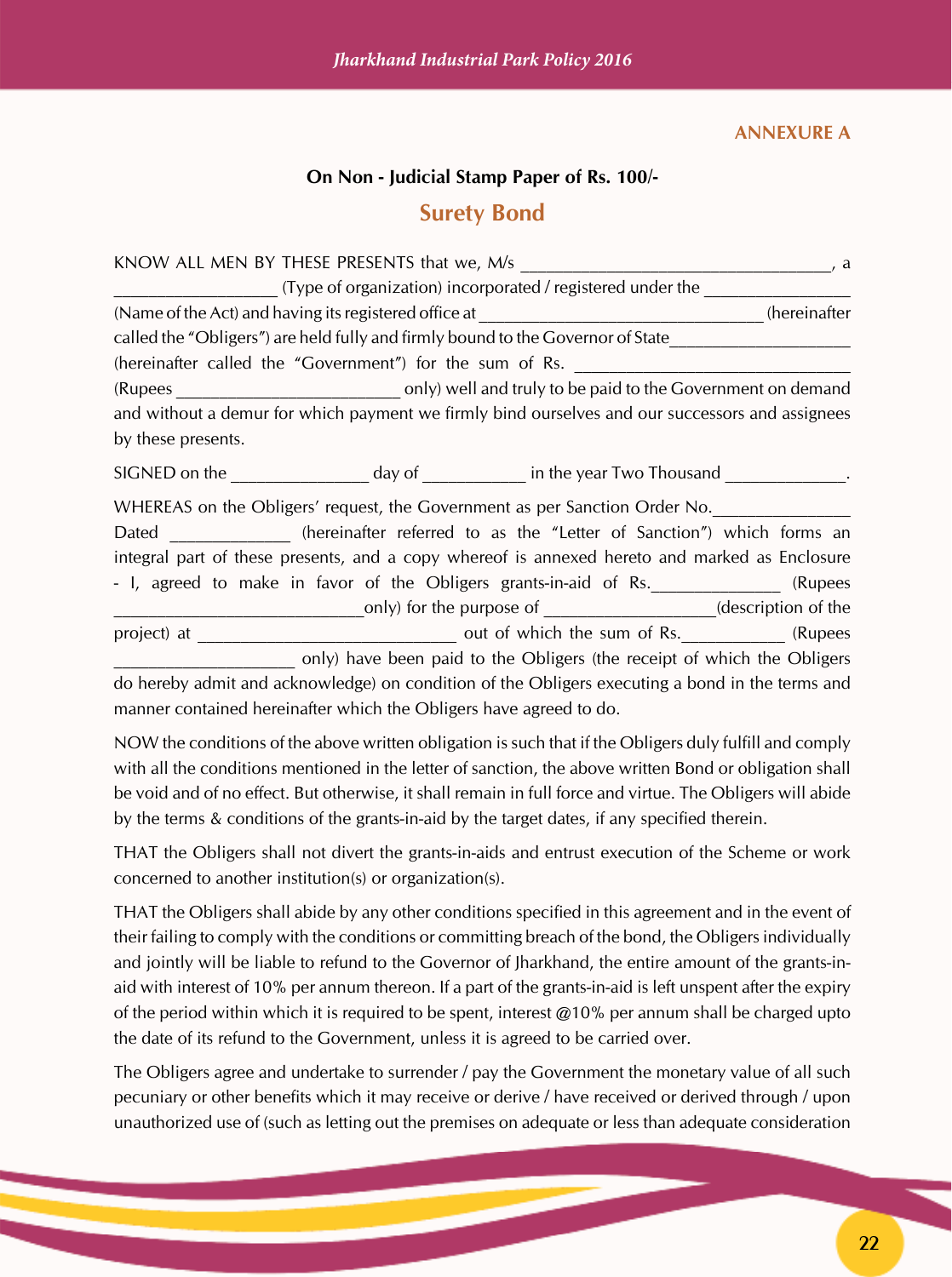#### **ANNEXURE A**

#### **On Non - Judicial Stamp Paper of Rs. 100/-**

#### **Surety Bond**

|                    |                                                          |                                                                                                 | , a          |
|--------------------|----------------------------------------------------------|-------------------------------------------------------------------------------------------------|--------------|
|                    |                                                          | (Type of organization) incorporated / registered under the                                      |              |
|                    |                                                          |                                                                                                 | (hereinafter |
|                    |                                                          | called the "Obligers") are held fully and firmly bound to the Governor of State                 |              |
|                    | (hereinafter called the "Government") for the sum of Rs. |                                                                                                 |              |
|                    |                                                          |                                                                                                 |              |
|                    |                                                          | and without a demur for which payment we firmly bind ourselves and our successors and assignees |              |
| by these presents. |                                                          |                                                                                                 |              |
|                    |                                                          |                                                                                                 |              |
|                    |                                                          | WHEREAS on the Obligers' request, the Government as per Sanction Order No.                      |              |
|                    |                                                          | Dated ______________ (hereinafter referred to as the "Letter of Sanction") which forms an       |              |
|                    |                                                          | integral part of these presents, and a copy whereof is annexed hereto and marked as Enclosure   |              |
|                    |                                                          | - I, agreed to make in favor of the Obligers grants-in-aid of Rs.                               | (Rupees      |
|                    |                                                          | only) for the purpose of ____________________(description of the                                |              |
|                    |                                                          |                                                                                                 |              |
|                    |                                                          | only) have been paid to the Obligers (the receipt of which the Obligers                         |              |
|                    |                                                          | do hereby admit and acknowledge) on condition of the Obligers executing a bond in the terms and |              |

manner contained hereinafter which the Obligers have agreed to do.

NOW the conditions of the above written obligation is such that if the Obligers duly fulfill and comply with all the conditions mentioned in the letter of sanction, the above written Bond or obligation shall be void and of no effect. But otherwise, it shall remain in full force and virtue. The Obligers will abide by the terms & conditions of the grants-in-aid by the target dates, if any specified therein.

THAT the Obligers shall not divert the grants-in-aids and entrust execution of the Scheme or work concerned to another institution(s) or organization(s).

THAT the Obligers shall abide by any other conditions specified in this agreement and in the event of their failing to comply with the conditions or committing breach of the bond, the Obligers individually and jointly will be liable to refund to the Governor of Jharkhand, the entire amount of the grants-inaid with interest of 10% per annum thereon. If a part of the grants-in-aid is left unspent after the expiry of the period within which it is required to be spent, interest  $@10\%$  per annum shall be charged upto the date of its refund to the Government, unless it is agreed to be carried over.

The Obligers agree and undertake to surrender / pay the Government the monetary value of all such pecuniary or other benefits which it may receive or derive / have received or derived through / upon unauthorized use of (such as letting out the premises on adequate or less than adequate consideration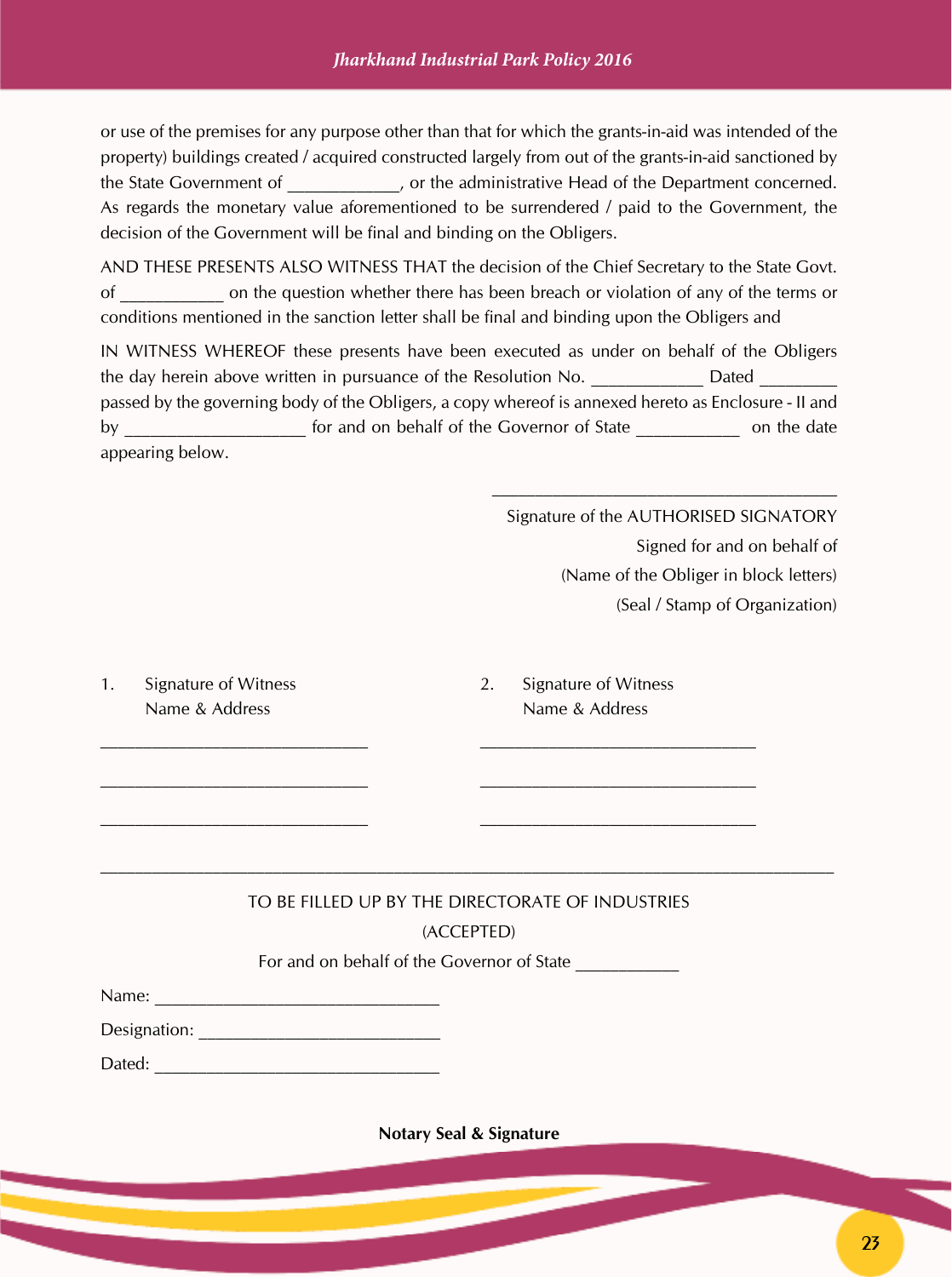or use of the premises for any purpose other than that for which the grants-in-aid was intended of the property) buildings created / acquired constructed largely from out of the grants-in-aid sanctioned by the State Government of  $\qquad \qquad$  , or the administrative Head of the Department concerned. As regards the monetary value aforementioned to be surrendered / paid to the Government, the decision of the Government will be final and binding on the Obligers.

AND THESE PRESENTS ALSO WITNESS THAT the decision of the Chief Secretary to the State Govt. of \_\_\_\_\_\_\_\_\_\_\_\_ on the question whether there has been breach or violation of any of the terms or conditions mentioned in the sanction letter shall be final and binding upon the Obligers and

IN WITNESS WHEREOF these presents have been executed as under on behalf of the Obligers the day herein above written in pursuance of the Resolution No. 2015 Dated passed by the governing body of the Obligers, a copy whereof is annexed hereto as Enclosure - II and by \_\_\_\_\_\_\_\_\_\_\_\_\_\_\_\_\_\_\_\_\_\_\_ for and on behalf of the Governor of State \_\_\_\_\_\_\_\_\_\_\_\_\_\_\_\_\_\_ on the date appearing below.

> Signature of the AUTHORISED SIGNATORY Signed for and on behalf of (Name of the Obliger in block letters) (Seal / Stamp of Organization)

1. Signature of Witness 2. Signature of Witness

Name & Address Name & Address

# TO BE FILLED UP BY THE DIRECTORATE OF INDUSTRIES

#### (ACCEPTED)

For and on behalf of the Governor of State

 $\mathcal{L}_\text{max} = \mathcal{L}_\text{max} = \mathcal{L}_\text{max} = \mathcal{L}_\text{max} = \mathcal{L}_\text{max} = \mathcal{L}_\text{max} = \mathcal{L}_\text{max} = \mathcal{L}_\text{max} = \mathcal{L}_\text{max} = \mathcal{L}_\text{max} = \mathcal{L}_\text{max} = \mathcal{L}_\text{max} = \mathcal{L}_\text{max} = \mathcal{L}_\text{max} = \mathcal{L}_\text{max} = \mathcal{L}_\text{max} = \mathcal{L}_\text{max} = \mathcal{L}_\text{max} = \mathcal{$ 

 $\overline{\phantom{a}}$  , and the contribution of the contribution of the contribution of the contribution of the contribution of the contribution of the contribution of the contribution of the contribution of the contribution of the

Dated:

**Notary Seal & Signature**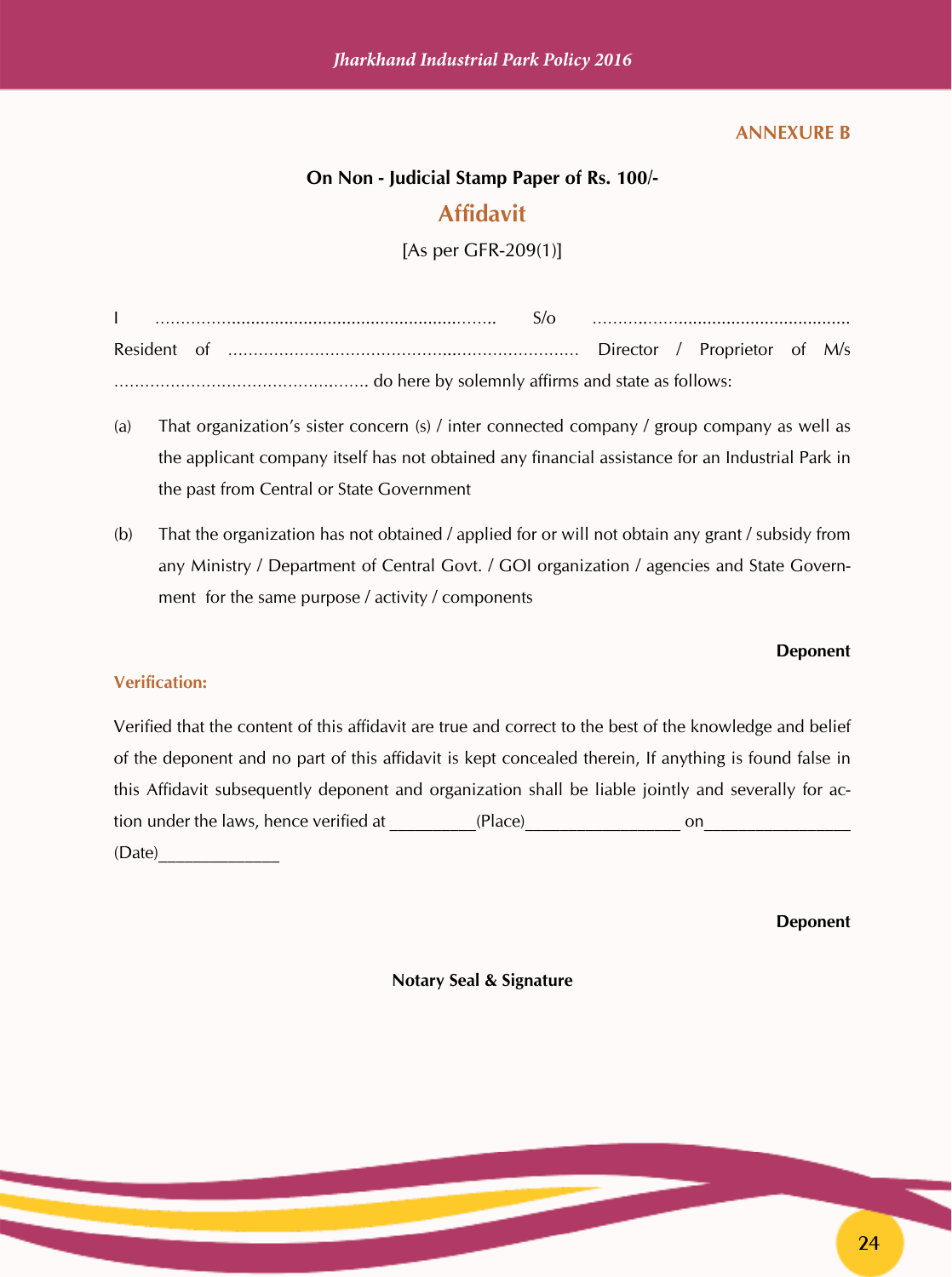#### **ANNEXURE B**

#### **On Non - Judicial Stamp Paper of Rs. 100/-**

### **Affidavit**

[As per GFR-209(1)]

I ……………...............................................…….. S/o ………..…….................................... Resident of ……………………………………...…………………… Director / Proprietor of M/s …………………………………….……. do here by solemnly affirms and state as follows:

- (a) That organization's sister concern (s) / inter connected company / group company as well as the applicant company itself has not obtained any financial assistance for an Industrial Park in the past from Central or State Government
- (b) That the organization has not obtained / applied for or will not obtain any grant / subsidy from any Ministry / Department of Central Govt. / GOI organization / agencies and State Government for the same purpose / activity / components

#### **Deponent**

#### **Verification:**

Verified that the content of this affidavit are true and correct to the best of the knowledge and belief of the deponent and no part of this affidavit is kept concealed therein, If anything is found false in this Affidavit subsequently deponent and organization shall be liable jointly and severally for action under the laws, hence verified at \_\_\_\_\_\_\_\_\_(Place) \_\_\_\_\_\_\_\_\_\_\_\_\_\_\_\_\_\_\_\_\_\_\_\_ on (Date)\_\_\_\_\_\_\_\_\_\_\_\_\_\_

#### **Deponent**

**Notary Seal & Signature**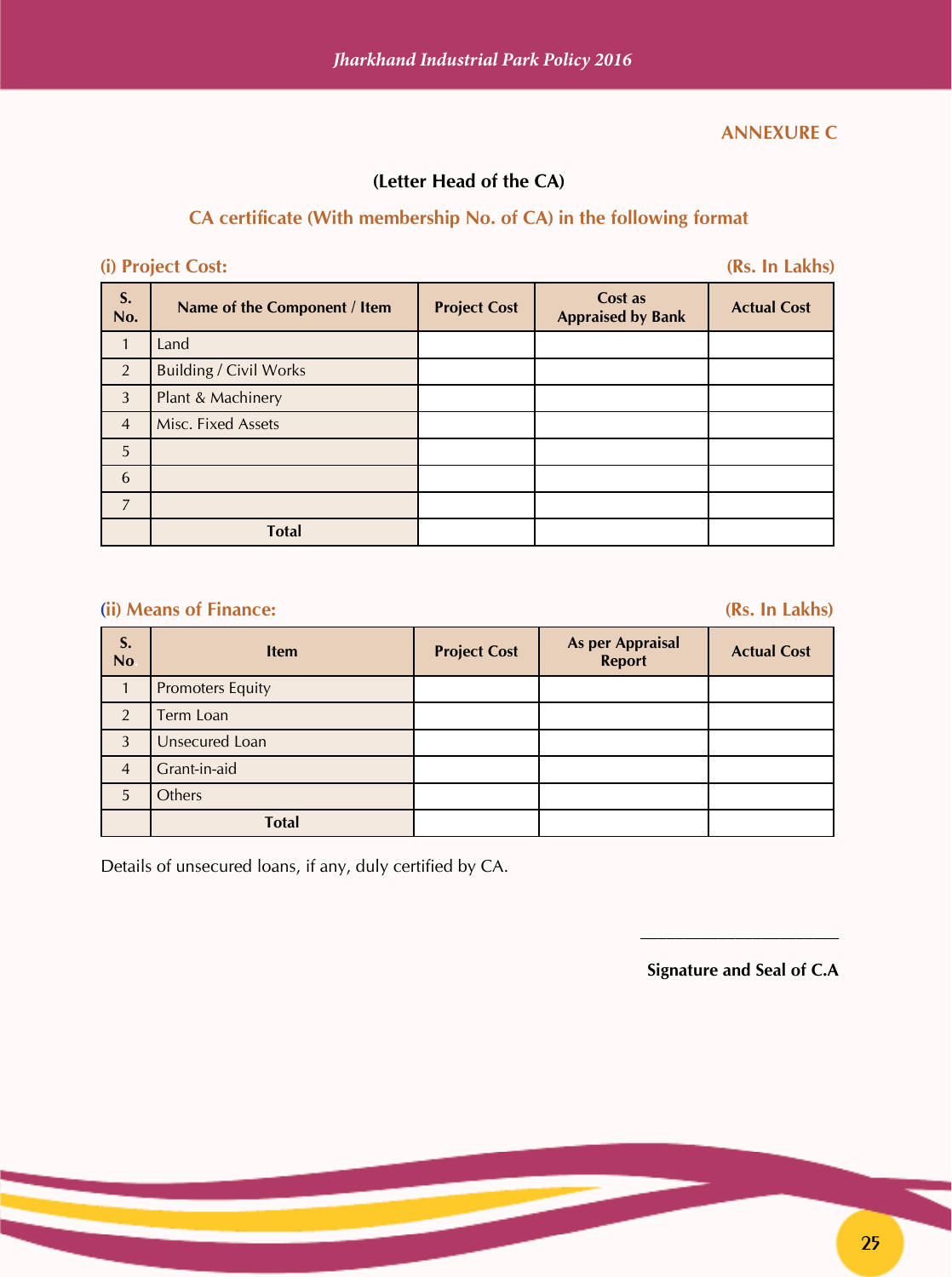#### **ANNEXURE C**

#### **(Letter Head of the CA)**

#### **CA certificate (With membership No. of CA) in the following format**

#### **(i) Project Cost: (Rs. In Lakhs)**

| S.<br>No.      | Name of the Component / Item  | <b>Project Cost</b> | Cost as<br><b>Appraised by Bank</b> | <b>Actual Cost</b> |
|----------------|-------------------------------|---------------------|-------------------------------------|--------------------|
|                | Land                          |                     |                                     |                    |
| 2              | <b>Building / Civil Works</b> |                     |                                     |                    |
| 3              | Plant & Machinery             |                     |                                     |                    |
| $\overline{4}$ | Misc. Fixed Assets            |                     |                                     |                    |
| 5              |                               |                     |                                     |                    |
| 6              |                               |                     |                                     |                    |
| $\overline{7}$ |                               |                     |                                     |                    |
|                | <b>Total</b>                  |                     |                                     |                    |

#### **(ii) Means of Finance: (Rs. In Lakhs)**

| S.<br>No.      | <b>Item</b>             | <b>Project Cost</b> | <b>As per Appraisal</b><br><b>Report</b> | <b>Actual Cost</b> |
|----------------|-------------------------|---------------------|------------------------------------------|--------------------|
|                | <b>Promoters Equity</b> |                     |                                          |                    |
| 2              | Term Loan               |                     |                                          |                    |
| 3              | Unsecured Loan          |                     |                                          |                    |
| $\overline{4}$ | Grant-in-aid            |                     |                                          |                    |
| 5              | Others                  |                     |                                          |                    |
|                | <b>Total</b>            |                     |                                          |                    |

Details of unsecured loans, if any, duly certified by CA.

**Signature and Seal of C.A**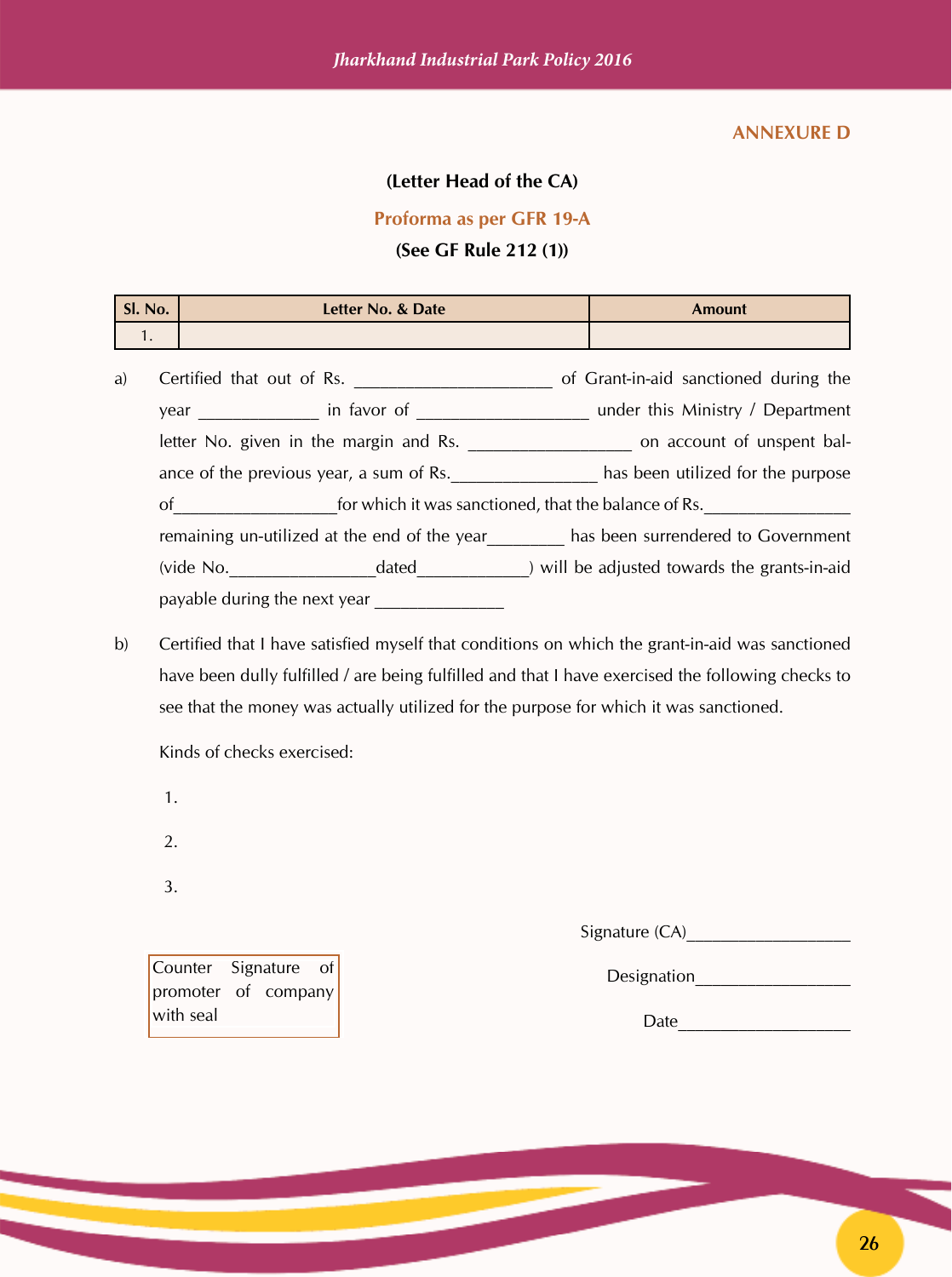#### **ANNEXURE D**

#### **(Letter Head of the CA)**

#### **Proforma as per GFR 19-A**

#### **(See GF Rule 212 (1))**

| Sl. No. | Letter No. & Date | <b>Amount</b> |
|---------|-------------------|---------------|
|         |                   |               |

| a) |                                         | Certified that out of Rs.                            | of Grant-in-aid sanctioned during the                               |  |  |  |  |  |
|----|-----------------------------------------|------------------------------------------------------|---------------------------------------------------------------------|--|--|--|--|--|
|    |                                         |                                                      | under this Ministry / Department                                    |  |  |  |  |  |
|    |                                         |                                                      | letter No. given in the margin and Rs. The contract of unspent bal- |  |  |  |  |  |
|    | ance of the previous year, a sum of Rs. |                                                      | has been utilized for the purpose                                   |  |  |  |  |  |
|    | of                                      | for which it was sanctioned, that the balance of Rs. |                                                                     |  |  |  |  |  |
|    |                                         | remaining un-utilized at the end of the year         | has been surrendered to Government                                  |  |  |  |  |  |
|    | (vide No.                               | dated                                                | ) will be adjusted towards the grants-in-aid                        |  |  |  |  |  |
|    | payable during the next year            |                                                      |                                                                     |  |  |  |  |  |

b) Certified that I have satisfied myself that conditions on which the grant-in-aid was sanctioned have been dully fulfilled / are being fulfilled and that I have exercised the following checks to see that the money was actually utilized for the purpose for which it was sanctioned.

Kinds of checks exercised:

- 1.
- 2.

3.

Signature (CA)\_\_\_\_\_\_\_\_\_\_\_\_\_\_\_\_\_\_\_

Counter Signature of promoter of company with seal

Designation

Date\_\_\_\_\_\_\_\_\_\_\_\_\_\_\_\_\_\_\_\_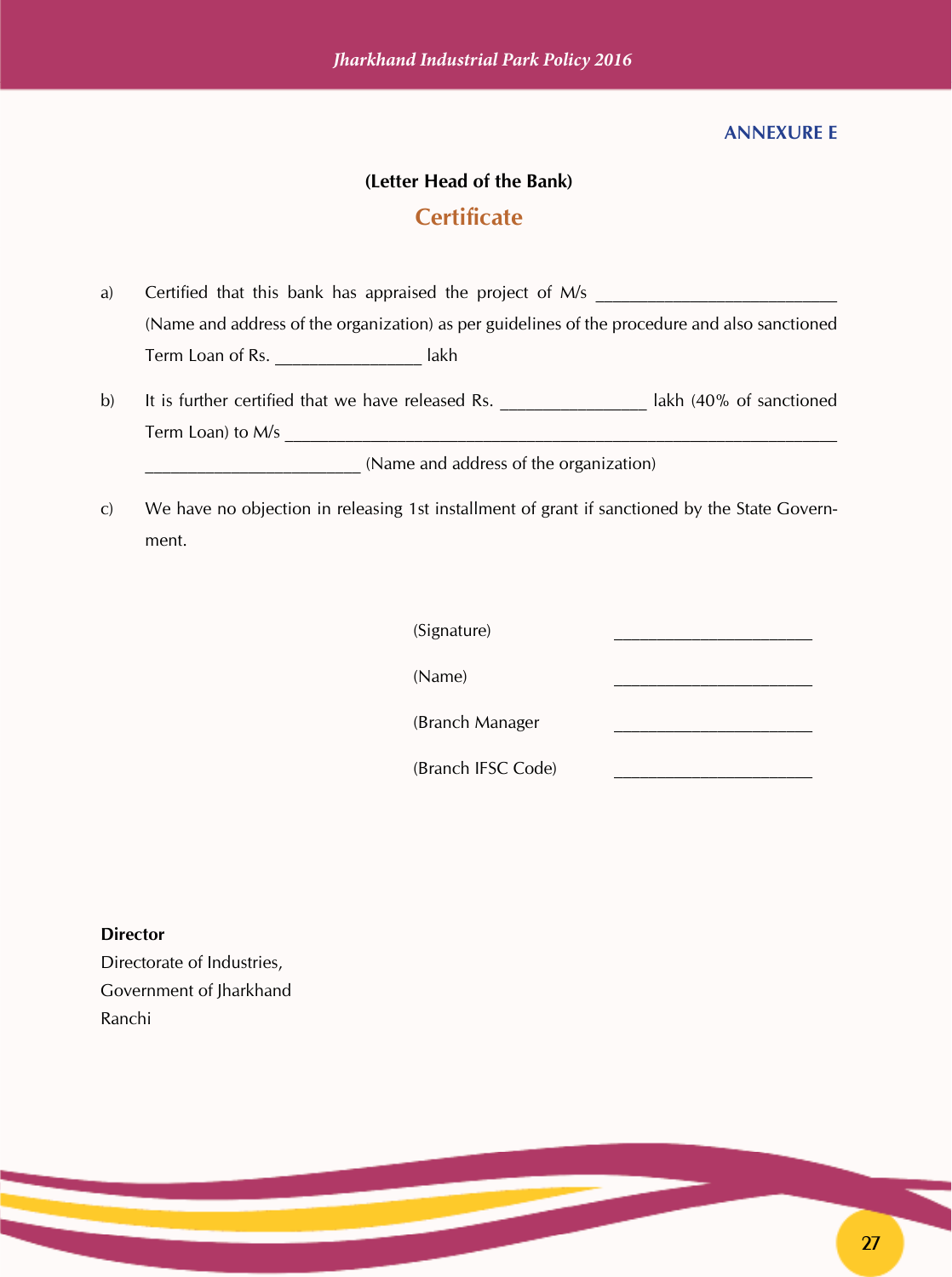#### **ANNEXURE E**

#### **(Letter Head of the Bank)**

### **Certificate**

- a) Certified that this bank has appraised the project of M/s (Name and address of the organization) as per guidelines of the procedure and also sanctioned Term Loan of Rs. **Example 20** lakh
- b) It is further certified that we have released Rs. **Let up that in the lakh (40% of sanctioned** Term Loan) to M/s

\_\_\_\_\_\_\_\_\_\_\_\_\_\_\_\_\_\_\_\_\_\_\_\_\_ (Name and address of the organization)

c) We have no objection in releasing 1st installment of grant if sanctioned by the State Government.

(Signature) \_\_\_\_\_\_\_\_\_\_\_\_\_\_\_\_\_\_\_\_\_\_\_

 $(Name)$ 

(Branch Manager \_\_\_\_\_\_\_\_\_\_\_\_\_\_\_\_\_\_\_\_\_\_\_

(Branch IFSC Code) \_\_\_\_\_\_\_\_\_\_\_\_\_\_\_\_\_\_\_\_\_\_\_

**Director** Directorate of Industries, Government of Jharkhand Ranchi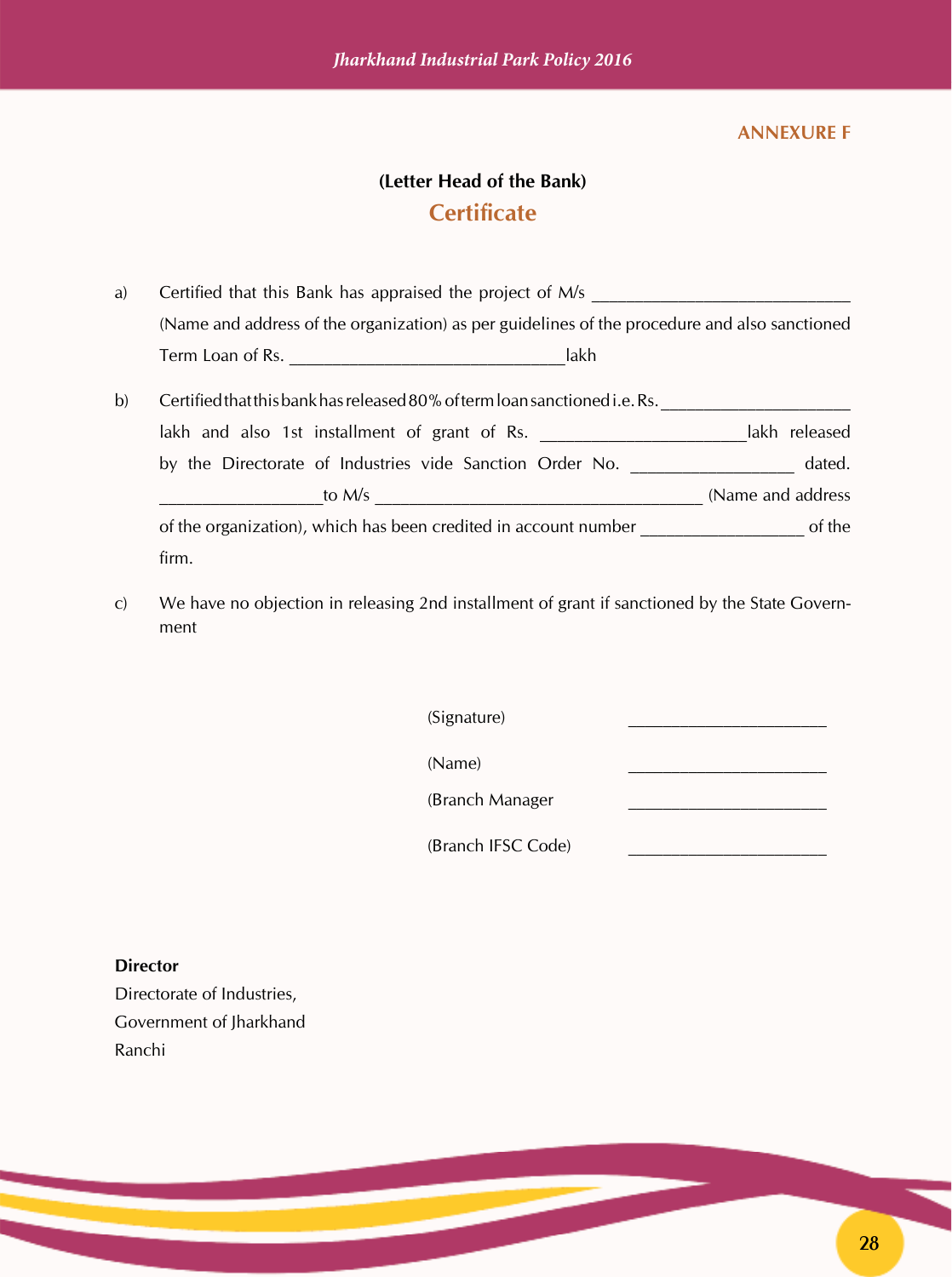#### **ANNEXURE F**

# **(Letter Head of the Bank) Certificate**

- a) Certified that this Bank has appraised the project of  $M/s$ (Name and address of the organization) as per guidelines of the procedure and also sanctioned Term Loan of Rs. **Example 20** and  $\overline{a}$  and  $\overline{b}$  and  $\overline{a}$  and  $\overline{b}$  and  $\overline{a}$
- b) Certified that this bank has released 80% of term loan sanctioned i.e. Rs. lakh and also 1st installment of grant of Rs. \_\_\_\_\_\_\_\_\_\_\_\_\_\_\_\_\_\_\_\_\_\_\_\_\_\_\_\_\_\_\_\_\_\_lakh released by the Directorate of Industries vide Sanction Order No. \_\_\_\_\_\_\_\_\_\_\_\_\_\_\_\_\_\_\_ dated. \_\_\_\_\_\_\_\_\_\_\_\_\_\_\_\_\_\_\_to M/s \_\_\_\_\_\_\_\_\_\_\_\_\_\_\_\_\_\_\_\_\_\_\_\_\_\_\_\_\_\_\_\_\_\_\_\_\_\_ (Name and address of the organization), which has been credited in account number of the organization), which has been credited in account number firm.
- c) We have no objection in releasing 2nd installment of grant if sanctioned by the State Government

 $(Signature)$ 

 $(Name)$ 

(Branch Manager \_\_\_\_\_\_\_\_\_\_\_\_\_\_\_\_\_\_\_\_\_\_\_

(Branch IFSC Code)

**Director**

Directorate of Industries, Government of Jharkhand Ranchi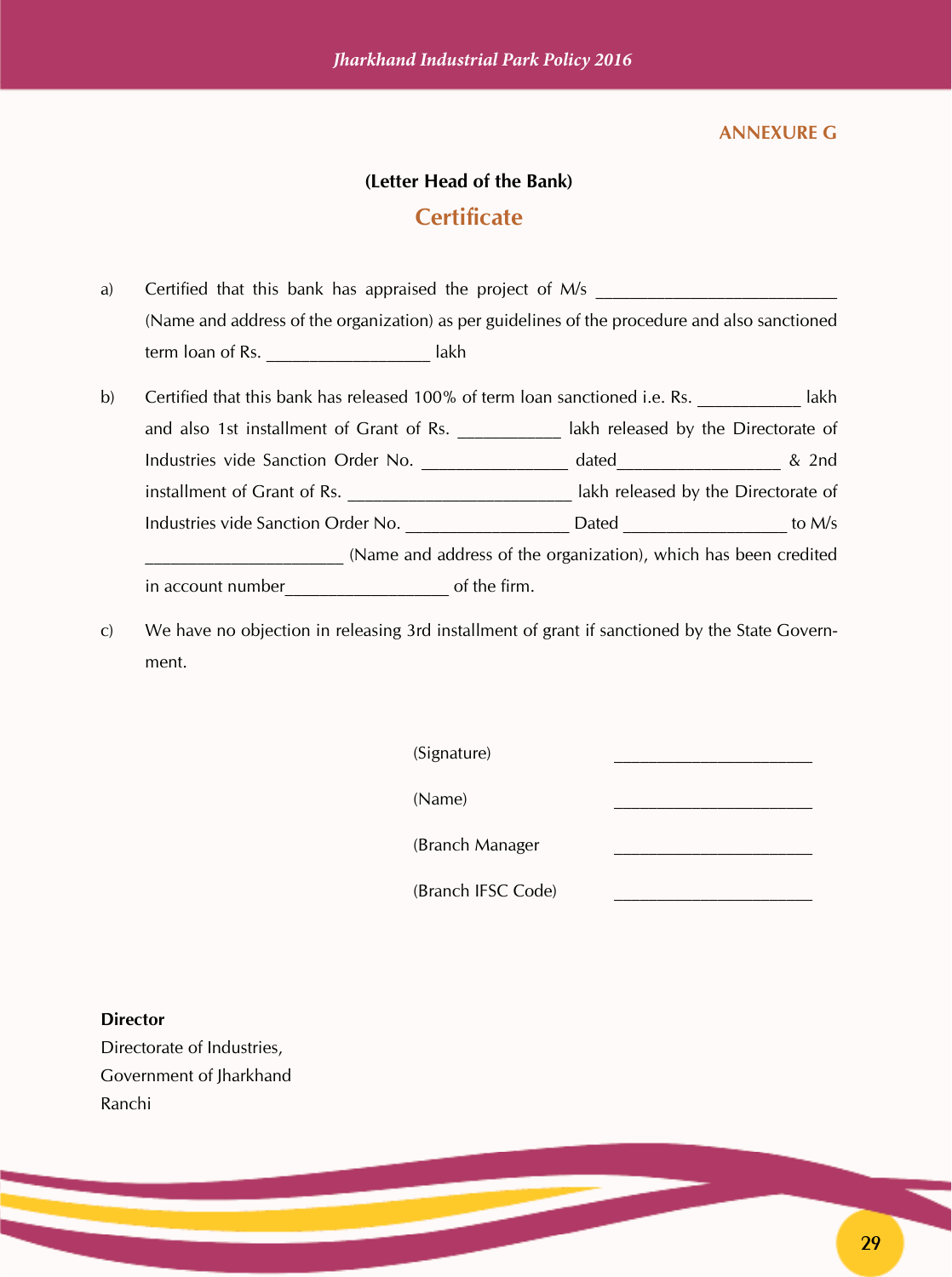#### **ANNEXURE G**

#### **(Letter Head of the Bank)**

#### **Certificate**

- a) Certified that this bank has appraised the project of  $M/s$ (Name and address of the organization) as per guidelines of the procedure and also sanctioned term loan of Rs. \_\_\_\_\_\_\_\_\_\_\_\_\_\_\_\_\_\_\_ lakh
- b) Certified that this bank has released 100% of term loan sanctioned i.e. Rs. \_\_\_\_\_\_\_\_\_ lakh and also 1st installment of Grant of Rs. \_\_\_\_\_\_\_\_\_\_\_\_ lakh released by the Directorate of Industries vide Sanction Order No. \_\_\_\_\_\_\_\_\_\_\_\_\_\_\_\_\_ dated\_\_\_\_\_\_\_\_\_\_\_\_\_\_\_\_\_\_\_\_ & 2nd installment of Grant of Rs. \_\_\_\_\_\_\_\_\_\_\_\_\_\_\_\_\_\_\_\_\_\_\_\_\_\_\_\_\_\_\_\_ lakh released by the Directorate of Industries vide Sanction Order No. \_\_\_\_\_\_\_\_\_\_\_\_\_\_\_\_\_\_\_ Dated \_\_\_\_\_\_\_\_\_\_\_\_\_\_\_\_\_\_\_ to M/s \_\_\_\_\_\_\_\_\_\_\_\_\_\_\_\_\_\_\_\_\_\_\_ (Name and address of the organization), which has been credited in account number\_\_\_\_\_\_\_\_\_\_\_\_\_\_\_\_\_\_\_ of the firm.
- c) We have no objection in releasing 3rd installment of grant if sanctioned by the State Government.

 $(Signature)$ 

 $(Name)$ 

(Branch Manager \_\_\_\_\_\_\_\_\_\_\_\_\_\_\_\_\_\_\_\_\_\_\_

(Branch IFSC Code) \_\_\_\_\_\_\_\_\_\_\_\_\_\_\_\_\_\_\_\_\_\_\_

#### **Director**

Directorate of Industries, Government of Jharkhand Ranchi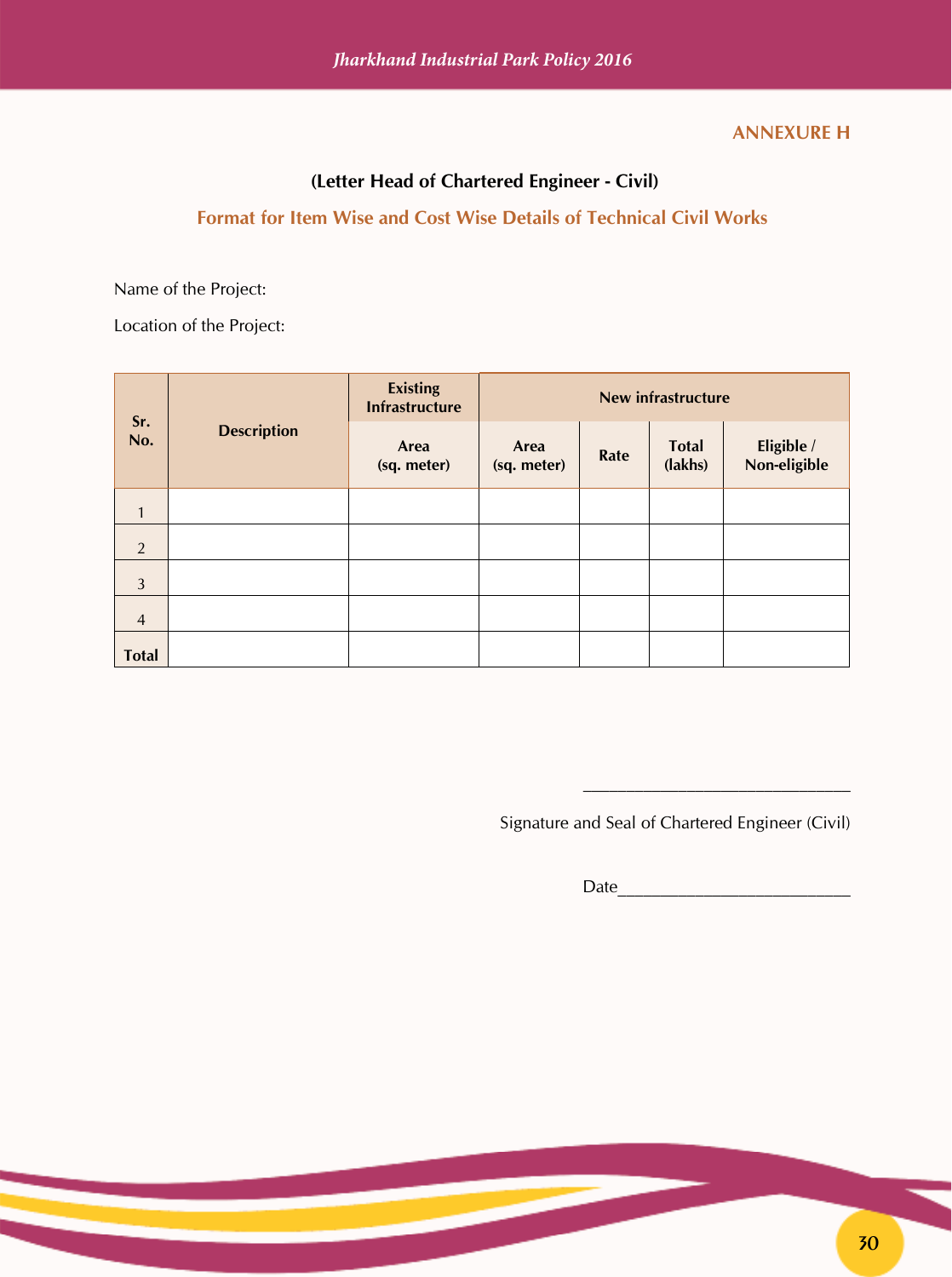#### **ANNEXURE H**

#### **(Letter Head of Chartered Engineer - Civil)**

#### **Format for Item Wise and Cost Wise Details of Technical Civil Works**

Name of the Project:

Location of the Project:

| Sr.<br>No.     | <b>Description</b> | <b>Existing</b><br><b>Infrastructure</b> | <b>New infrastructure</b> |      |                         |                            |
|----------------|--------------------|------------------------------------------|---------------------------|------|-------------------------|----------------------------|
|                |                    | Area<br>(sq. meter)                      | Area<br>(sq. meter)       | Rate | <b>Total</b><br>(lakhs) | Eligible /<br>Non-eligible |
| $\mathbf{1}$   |                    |                                          |                           |      |                         |                            |
| 2              |                    |                                          |                           |      |                         |                            |
| $\mathfrak{Z}$ |                    |                                          |                           |      |                         |                            |
| $\overline{4}$ |                    |                                          |                           |      |                         |                            |
| <b>Total</b>   |                    |                                          |                           |      |                         |                            |

Signature and Seal of Chartered Engineer (Civil)

Date\_\_\_\_\_\_\_\_\_\_\_\_\_\_\_\_\_\_\_\_\_\_\_\_\_\_\_

 $\overline{\phantom{a}}$  , which is a set of the set of the set of the set of the set of the set of the set of the set of the set of the set of the set of the set of the set of the set of the set of the set of the set of the set of th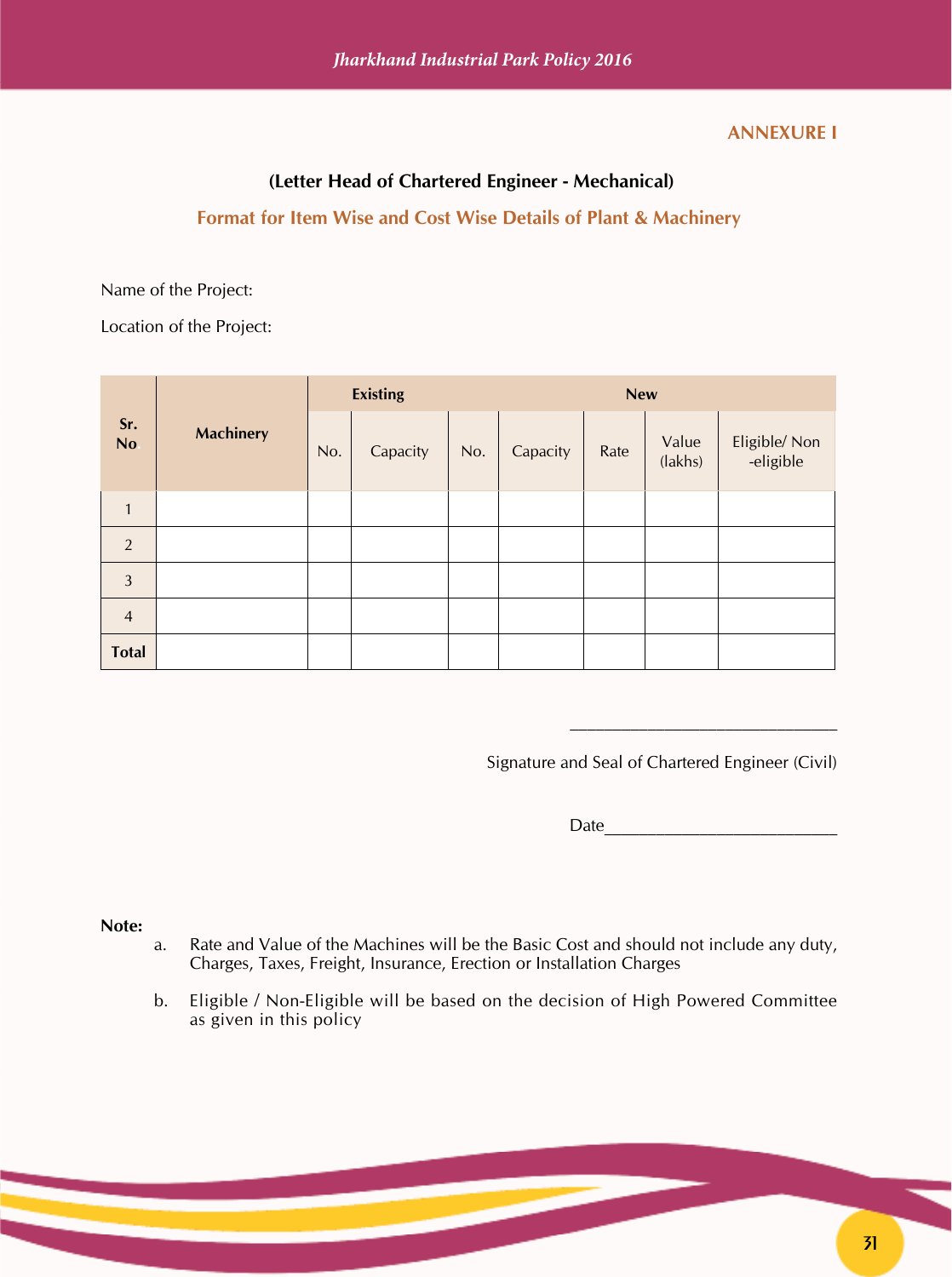#### **ANNEXURE I**

#### **(Letter Head of Chartered Engineer - Mechanical)**

#### **Format for Item Wise and Cost Wise Details of Plant & Machinery**

Name of the Project:

Location of the Project:

|                | <b>Machinery</b> | <b>Existing</b> |          | <b>New</b> |          |      |                  |                           |
|----------------|------------------|-----------------|----------|------------|----------|------|------------------|---------------------------|
| Sr.<br>No.     |                  | No.             | Capacity | No.        | Capacity | Rate | Value<br>(lakhs) | Eligible/Non<br>-eligible |
| $\mathbf{1}$   |                  |                 |          |            |          |      |                  |                           |
| 2              |                  |                 |          |            |          |      |                  |                           |
| $\overline{3}$ |                  |                 |          |            |          |      |                  |                           |
| $\overline{4}$ |                  |                 |          |            |          |      |                  |                           |
| <b>Total</b>   |                  |                 |          |            |          |      |                  |                           |

Signature and Seal of Chartered Engineer (Civil)

Date\_\_\_\_\_\_\_\_\_\_\_\_\_\_\_\_\_\_\_\_\_\_\_\_\_\_\_

 $\mathcal{L}_\text{max}$  and the set of the set of the set of the set of the set of the set of the set of the set of the set of the set of the set of the set of the set of the set of the set of the set of the set of the set of the s

#### **Note:**

- a. Rate and Value of the Machines will be the Basic Cost and should not include any duty, Charges, Taxes, Freight, Insurance, Erection or Installation Charges
- b. Eligible / Non-Eligible will be based on the decision of High Powered Committee as given in this policy